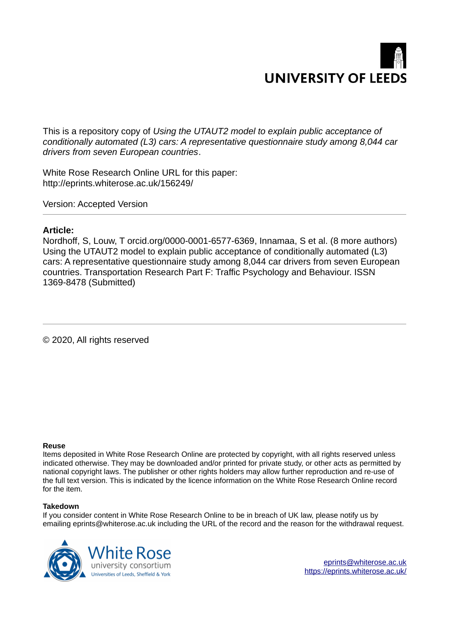

This is a repository copy of *Using the UTAUT2 model to explain public acceptance of conditionally automated (L3) cars: A representative questionnaire study among 8,044 car drivers from seven European countries*.

White Rose Research Online URL for this paper: http://eprints.whiterose.ac.uk/156249/

Version: Accepted Version

# **Article:**

Nordhoff, S, Louw, T orcid.org/0000-0001-6577-6369, Innamaa, S et al. (8 more authors) Using the UTAUT2 model to explain public acceptance of conditionally automated (L3) cars: A representative questionnaire study among 8,044 car drivers from seven European countries. Transportation Research Part F: Traffic Psychology and Behaviour. ISSN 1369-8478 (Submitted)

© 2020, All rights reserved

#### **Reuse**

Items deposited in White Rose Research Online are protected by copyright, with all rights reserved unless indicated otherwise. They may be downloaded and/or printed for private study, or other acts as permitted by national copyright laws. The publisher or other rights holders may allow further reproduction and re-use of the full text version. This is indicated by the licence information on the White Rose Research Online record for the item.

#### **Takedown**

If you consider content in White Rose Research Online to be in breach of UK law, please notify us by emailing eprints@whiterose.ac.uk including the URL of the record and the reason for the withdrawal request.

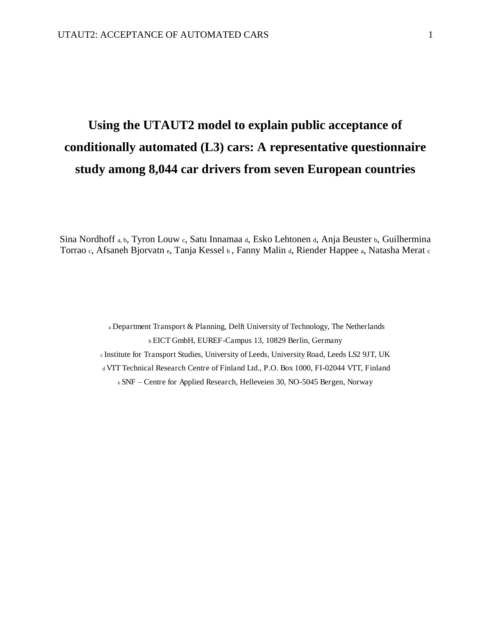# **Using the UTAUT2 model to explain public acceptance of conditionally automated (L3) cars: A representative questionnaire study among 8,044 car drivers from seven European countries**

Sina Nordhoff a, b, Tyron Louw c, Satu Innamaa d, Esko Lehtonen d, Anja Beuster b, Guilhermina Torrao c, Afsaneh Bjorvatn e, Tanja Kessel b , Fanny Malin d, Riender Happee a, Natasha Merat <sup>c</sup>

> <sup>a</sup>Department Transport & Planning, Delft University of Technology, The Netherlands <sup>b</sup>EICT GmbH, EUREF-Campus 13, 10829 Berlin, Germany c Institute for Transport Studies, University of Leeds, University Road, Leeds LS2 9JT, UK <sup>d</sup>VTT Technical Research Centre of Finland Ltd., P.O. Box 1000, FI-02044 VTT, Finland e SNF *–* Centre for Applied Research, Helleveien 30, NO-5045 Bergen, Norway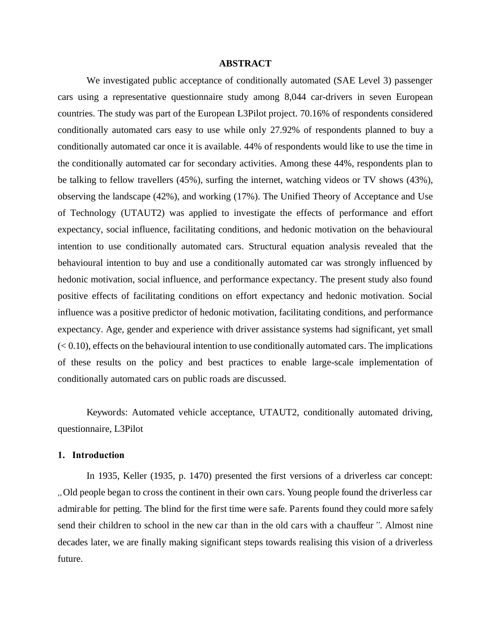#### **ABSTRACT**

We investigated public acceptance of conditionally automated (SAE Level 3) passenger cars using a representative questionnaire study among 8,044 car-drivers in seven European countries. The study was part of the European L3Pilot project. 70.16% of respondents considered conditionally automated cars easy to use while only 27.92% of respondents planned to buy a conditionally automated car once it is available. 44% of respondents would like to use the time in the conditionally automated car for secondary activities. Among these 44%, respondents plan to be talking to fellow travellers (45%), surfing the internet, watching videos or TV shows (43%), observing the landscape (42%), and working (17%). The Unified Theory of Acceptance and Use of Technology (UTAUT2) was applied to investigate the effects of performance and effort expectancy, social influence, facilitating conditions, and hedonic motivation on the behavioural intention to use conditionally automated cars. Structural equation analysis revealed that the behavioural intention to buy and use a conditionally automated car was strongly influenced by hedonic motivation, social influence, and performance expectancy. The present study also found positive effects of facilitating conditions on effort expectancy and hedonic motivation. Social influence was a positive predictor of hedonic motivation, facilitating conditions, and performance expectancy. Age, gender and experience with driver assistance systems had significant, yet small  $( $0.10$ ), effects on the behavioral intention to use conditionally automated cars. The implications$ of these results on the policy and best practices to enable large-scale implementation of conditionally automated cars on public roads are discussed.

Keywords: Automated vehicle acceptance, UTAUT2, conditionally automated driving, questionnaire, L3Pilot

#### **1. Introduction**

In 1935, Keller (1935, p. 1470) presented the first versions of a driverless car concept: *"*Old people began to cross the continent in their own cars. Young people found the driverless car admirable for petting. The blind for the first time were safe. Parents found they could more safely send their children to school in the new car than in the old cars with a chauffeur*"*. Almost nine decades later, we are finally making significant steps towards realising this vision of a driverless future.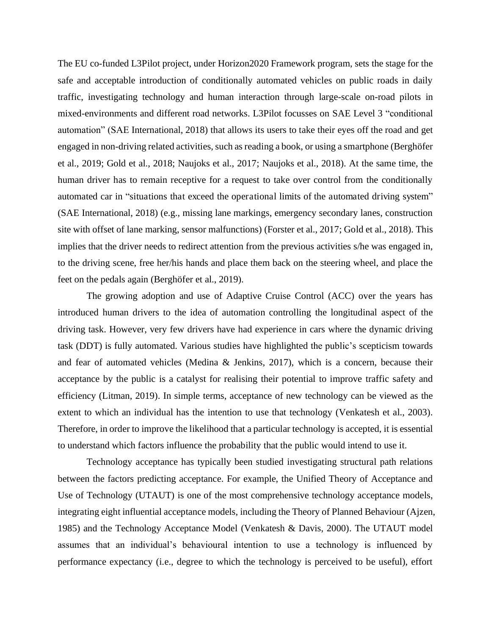The EU co-funded L3Pilot project, under Horizon2020 Framework program, sets the stage for the safe and acceptable introduction of conditionally automated vehicles on public roads in daily traffic, investigating technology and human interaction through large-scale on-road pilots in mixed-environments and different road networks. L3Pilot focusses on SAE Level 3 "conditional automation" (SAE International, 2018) that allows its users to take their eyes off the road and get engaged in non-driving related activities, such as reading a book, or using a smartphone (Berghöfer et al., 2019; Gold et al., 2018; Naujoks et al., 2017; Naujoks et al., 2018). At the same time, the human driver has to remain receptive for a request to take over control from the conditionally automated car in "situations that exceed the operational limits of the automated driving system" (SAE International, 2018) (e.g., missing lane markings, emergency secondary lanes, construction site with offset of lane marking, sensor malfunctions) (Forster et al., 2017; Gold et al., 2018). This implies that the driver needs to redirect attention from the previous activities s/he was engaged in, to the driving scene, free her/his hands and place them back on the steering wheel, and place the feet on the pedals again (Berghöfer et al., 2019).

The growing adoption and use of Adaptive Cruise Control (ACC) over the years has introduced human drivers to the idea of automation controlling the longitudinal aspect of the driving task. However, very few drivers have had experience in cars where the dynamic driving task (DDT) is fully automated. Various studies have highlighted the public's scepticism towards and fear of automated vehicles (Medina & Jenkins, 2017), which is a concern, because their acceptance by the public is a catalyst for realising their potential to improve traffic safety and efficiency (Litman, 2019). In simple terms, acceptance of new technology can be viewed as the extent to which an individual has the intention to use that technology (Venkatesh et al., 2003). Therefore, in order to improve the likelihood that a particular technology is accepted, it is essential to understand which factors influence the probability that the public would intend to use it.

Technology acceptance has typically been studied investigating structural path relations between the factors predicting acceptance. For example, the Unified Theory of Acceptance and Use of Technology (UTAUT) is one of the most comprehensive technology acceptance models, integrating eight influential acceptance models, including the Theory of Planned Behaviour (Ajzen, 1985) and the Technology Acceptance Model (Venkatesh & Davis, 2000). The UTAUT model assumes that an individual's behavioural intention to use a technology is influenced by performance expectancy (i.e., degree to which the technology is perceived to be useful), effort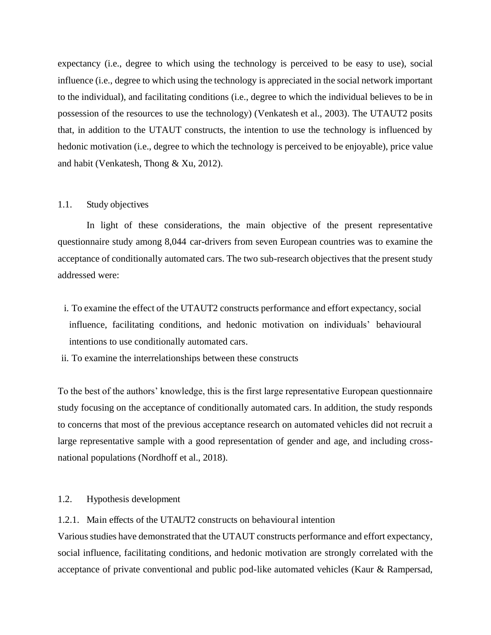expectancy (i.e., degree to which using the technology is perceived to be easy to use), social influence (i.e., degree to which using the technology is appreciated in the social network important to the individual), and facilitating conditions (i.e., degree to which the individual believes to be in possession of the resources to use the technology) (Venkatesh et al., 2003). The UTAUT2 posits that, in addition to the UTAUT constructs, the intention to use the technology is influenced by hedonic motivation (i.e., degree to which the technology is perceived to be enjoyable), price value and habit (Venkatesh, Thong & Xu, 2012).

## 1.1. Study objectives

In light of these considerations, the main objective of the present representative questionnaire study among 8,044 car-drivers from seven European countries was to examine the acceptance of conditionally automated cars. The two sub-research objectives that the present study addressed were:

- i. To examine the effect of the UTAUT2 constructs performance and effort expectancy, social influence, facilitating conditions, and hedonic motivation on individuals' behavioural intentions to use conditionally automated cars.
- ii. To examine the interrelationships between these constructs

To the best of the authors' knowledge, this is the first large representative European questionnaire study focusing on the acceptance of conditionally automated cars. In addition, the study responds to concerns that most of the previous acceptance research on automated vehicles did not recruit a large representative sample with a good representation of gender and age, and including crossnational populations (Nordhoff et al., 2018).

# 1.2. Hypothesis development

# 1.2.1. Main effects of the UTAUT2 constructs on behavioural intention

Various studies have demonstrated that the UTAUT constructs performance and effort expectancy, social influence, facilitating conditions, and hedonic motivation are strongly correlated with the acceptance of private conventional and public pod-like automated vehicles (Kaur & Rampersad,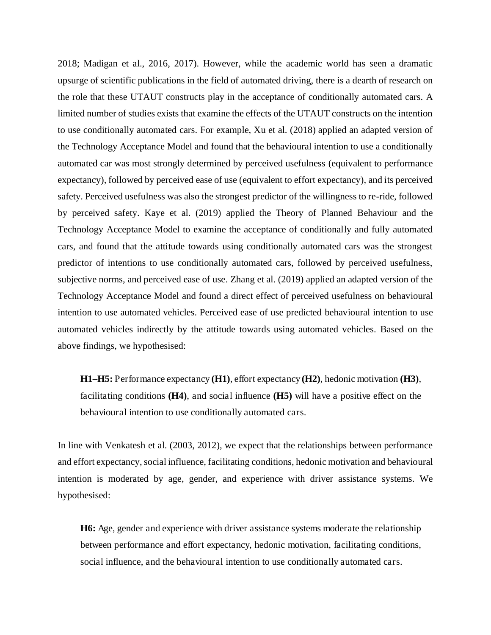2018; Madigan et al., 2016, 2017). However, while the academic world has seen a dramatic upsurge of scientific publications in the field of automated driving, there is a dearth of research on the role that these UTAUT constructs play in the acceptance of conditionally automated cars. A limited number of studies exists that examine the effects of the UTAUT constructs on the intention to use conditionally automated cars. For example, Xu et al. (2018) applied an adapted version of the Technology Acceptance Model and found that the behavioural intention to use a conditionally automated car was most strongly determined by perceived usefulness (equivalent to performance expectancy), followed by perceived ease of use (equivalent to effort expectancy), and its perceived safety. Perceived usefulness was also the strongest predictor of the willingness to re-ride, followed by perceived safety. Kaye et al. (2019) applied the Theory of Planned Behaviour and the Technology Acceptance Model to examine the acceptance of conditionally and fully automated cars, and found that the attitude towards using conditionally automated cars was the strongest predictor of intentions to use conditionally automated cars, followed by perceived usefulness, subjective norms, and perceived ease of use. Zhang et al. (2019) applied an adapted version of the Technology Acceptance Model and found a direct effect of perceived usefulness on behavioural intention to use automated vehicles. Perceived ease of use predicted behavioural intention to use automated vehicles indirectly by the attitude towards using automated vehicles. Based on the above findings, we hypothesised:

**H1***–***H5:** Performance expectancy **(H1)**, effort expectancy **(H2)**, hedonic motivation **(H3)**, facilitating conditions **(H4)**, and social influence **(H5)** will have a positive effect on the behavioural intention to use conditionally automated cars.

In line with Venkatesh et al. (2003, 2012), we expect that the relationships between performance and effort expectancy, social influence, facilitating conditions, hedonic motivation and behavioural intention is moderated by age, gender, and experience with driver assistance systems. We hypothesised:

**H6:** Age, gender and experience with driver assistance systems moderate the relationship between performance and effort expectancy, hedonic motivation, facilitating conditions, social influence, and the behavioural intention to use conditionally automated cars.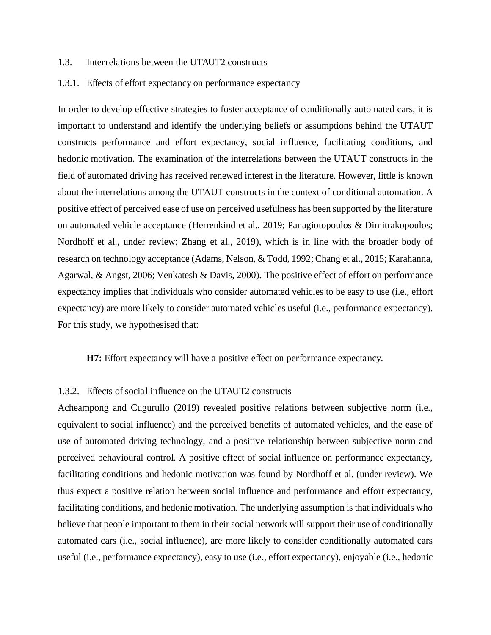#### 1.3. Interrelations between the UTAUT2 constructs

#### 1.3.1. Effects of effort expectancy on performance expectancy

In order to develop effective strategies to foster acceptance of conditionally automated cars, it is important to understand and identify the underlying beliefs or assumptions behind the UTAUT constructs performance and effort expectancy, social influence, facilitating conditions, and hedonic motivation. The examination of the interrelations between the UTAUT constructs in the field of automated driving has received renewed interest in the literature. However, little is known about the interrelations among the UTAUT constructs in the context of conditional automation. A positive effect of perceived ease of use on perceived usefulness has been supported by the literature on automated vehicle acceptance (Herrenkind et al., 2019; Panagiotopoulos & Dimitrakopoulos; Nordhoff et al., under review; Zhang et al., 2019), which is in line with the broader body of research on technology acceptance (Adams, Nelson, & Todd, 1992; Chang et al., 2015; Karahanna, Agarwal, & Angst, 2006; Venkatesh & Davis, 2000). The positive effect of effort on performance expectancy implies that individuals who consider automated vehicles to be easy to use (i.e., effort expectancy) are more likely to consider automated vehicles useful (i.e., performance expectancy). For this study, we hypothesised that:

**H7:** Effort expectancy will have a positive effect on performance expectancy.

# 1.3.2. Effects of social influence on the UTAUT2 constructs

Acheampong and Cugurullo (2019) revealed positive relations between subjective norm (i.e., equivalent to social influence) and the perceived benefits of automated vehicles, and the ease of use of automated driving technology, and a positive relationship between subjective norm and perceived behavioural control. A positive effect of social influence on performance expectancy, facilitating conditions and hedonic motivation was found by Nordhoff et al. (under review). We thus expect a positive relation between social influence and performance and effort expectancy, facilitating conditions, and hedonic motivation. The underlying assumption is that individuals who believe that people important to them in their social network will support their use of conditionally automated cars (i.e., social influence), are more likely to consider conditionally automated cars useful (i.e., performance expectancy), easy to use (i.e., effort expectancy), enjoyable (i.e., hedonic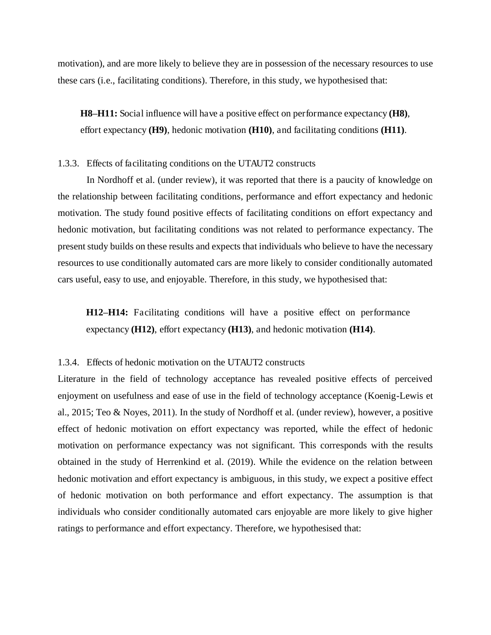motivation), and are more likely to believe they are in possession of the necessary resources to use these cars (i.e., facilitating conditions). Therefore, in this study, we hypothesised that:

**H8***–***H11:** Social influence will have a positive effect on performance expectancy **(H8)**, effort expectancy **(H9)**, hedonic motivation **(H10)**, and facilitating conditions **(H11)**.

#### 1.3.3. Effects of facilitating conditions on the UTAUT2 constructs

In Nordhoff et al. (under review), it was reported that there is a paucity of knowledge on the relationship between facilitating conditions, performance and effort expectancy and hedonic motivation. The study found positive effects of facilitating conditions on effort expectancy and hedonic motivation, but facilitating conditions was not related to performance expectancy. The present study builds on these results and expects that individuals who believe to have the necessary resources to use conditionally automated cars are more likely to consider conditionally automated cars useful, easy to use, and enjoyable. Therefore, in this study, we hypothesised that:

**H12***–***H14:** Facilitating conditions will have a positive effect on performance expectancy **(H12)**, effort expectancy **(H13)**, and hedonic motivation **(H14)**.

#### 1.3.4. Effects of hedonic motivation on the UTAUT2 constructs

Literature in the field of technology acceptance has revealed positive effects of perceived enjoyment on usefulness and ease of use in the field of technology acceptance (Koenig-Lewis et al., 2015; Teo & Noyes, 2011). In the study of Nordhoff et al. (under review), however, a positive effect of hedonic motivation on effort expectancy was reported, while the effect of hedonic motivation on performance expectancy was not significant. This corresponds with the results obtained in the study of Herrenkind et al. (2019). While the evidence on the relation between hedonic motivation and effort expectancy is ambiguous, in this study, we expect a positive effect of hedonic motivation on both performance and effort expectancy. The assumption is that individuals who consider conditionally automated cars enjoyable are more likely to give higher ratings to performance and effort expectancy. Therefore, we hypothesised that: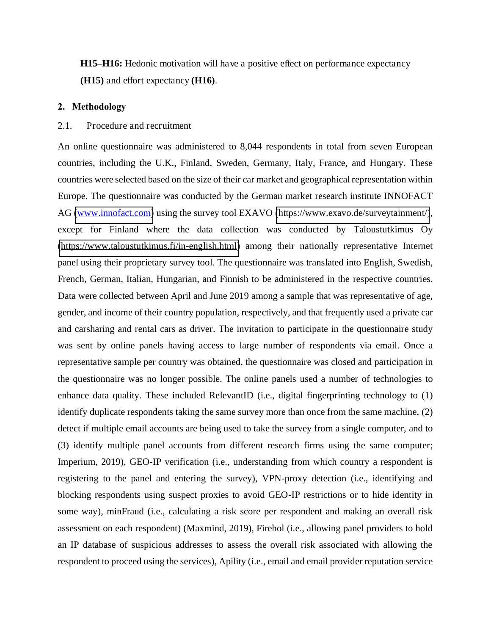**H15***–***H16:** Hedonic motivation will have a positive effect on performance expectancy **(H15)** and effort expectancy **(H16)**.

## **2. Methodology**

# 2.1. Procedure and recruitment

An online questionnaire was administered to 8,044 respondents in total from seven European countries, including the U.K., Finland, Sweden, Germany, Italy, France, and Hungary. These countries were selected based on the size of their car market and geographical representation within Europe. The questionnaire was conducted by the German market research institute INNOFACT AG [\(www.innofact.com\)](http://www.innofact.com/) using the survey tool EXAVO [\(https://www.exavo.de/surveytainment/\)](https://www.exavo.de/surveytainment/), except for Finland where the data collection was conducted by Taloustutkimus Oy [\(https://www.taloustutkimus.fi/in-english.html\)](https://www.taloustutkimus.fi/in-english.html) among their nationally representative Internet panel using their proprietary survey tool. The questionnaire was translated into English, Swedish, French, German, Italian, Hungarian, and Finnish to be administered in the respective countries. Data were collected between April and June 2019 among a sample that was representative of age, gender, and income of their country population, respectively, and that frequently used a private car and carsharing and rental cars as driver. The invitation to participate in the questionnaire study was sent by online panels having access to large number of respondents via email. Once a representative sample per country was obtained, the questionnaire was closed and participation in the questionnaire was no longer possible. The online panels used a number of technologies to enhance data quality. These included RelevantID (i.e., digital fingerprinting technology to (1) identify duplicate respondents taking the same survey more than once from the same machine, (2) detect if multiple email accounts are being used to take the survey from a single computer, and to (3) identify multiple panel accounts from different research firms using the same computer; Imperium, 2019), GEO-IP verification (i.e., understanding from which country a respondent is registering to the panel and entering the survey), VPN-proxy detection (i.e., identifying and blocking respondents using suspect proxies to avoid GEO-IP restrictions or to hide identity in some way), minFraud (i.e., calculating a risk score per respondent and making an overall risk assessment on each respondent) (Maxmind, 2019), Firehol (i.e., allowing panel providers to hold an IP database of suspicious addresses to assess the overall risk associated with allowing the respondent to proceed using the services), Apility (i.e., email and email provider reputation service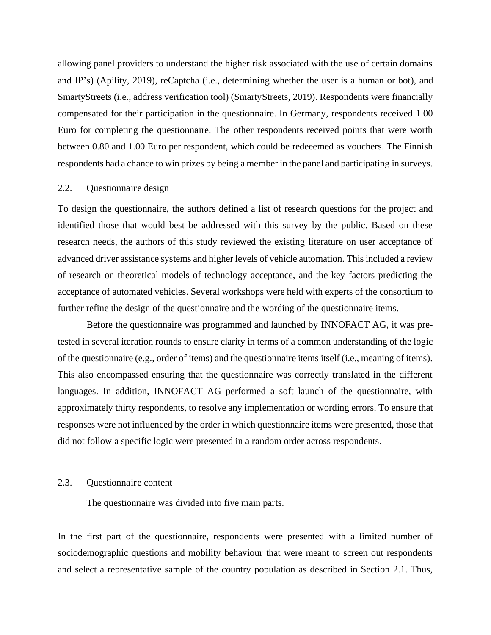allowing panel providers to understand the higher risk associated with the use of certain domains and IP's) (Apility, 2019), reCaptcha (i.e., determining whether the user is a human or bot), and SmartyStreets (i.e., address verification tool) (SmartyStreets, 2019). Respondents were financially compensated for their participation in the questionnaire. In Germany, respondents received 1.00 Euro for completing the questionnaire. The other respondents received points that were worth between 0.80 and 1.00 Euro per respondent, which could be redeeemed as vouchers. The Finnish respondents had a chance to win prizes by being a member in the panel and participating in surveys.

#### 2.2. Questionnaire design

To design the questionnaire, the authors defined a list of research questions for the project and identified those that would best be addressed with this survey by the public. Based on these research needs, the authors of this study reviewed the existing literature on user acceptance of advanced driver assistance systems and higher levels of vehicle automation. This included a review of research on theoretical models of technology acceptance, and the key factors predicting the acceptance of automated vehicles. Several workshops were held with experts of the consortium to further refine the design of the questionnaire and the wording of the questionnaire items.

Before the questionnaire was programmed and launched by INNOFACT AG, it was pretested in several iteration rounds to ensure clarity in terms of a common understanding of the logic of the questionnaire (e.g., order of items) and the questionnaire items itself (i.e., meaning of items). This also encompassed ensuring that the questionnaire was correctly translated in the different languages. In addition, INNOFACT AG performed a soft launch of the questionnaire, with approximately thirty respondents, to resolve any implementation or wording errors. To ensure that responses were not influenced by the order in which questionnaire items were presented, those that did not follow a specific logic were presented in a random order across respondents.

# 2.3. Questionnaire content

The questionnaire was divided into five main parts.

In the first part of the questionnaire, respondents were presented with a limited number of sociodemographic questions and mobility behaviour that were meant to screen out respondents and select a representative sample of the country population as described in Section 2.1. Thus,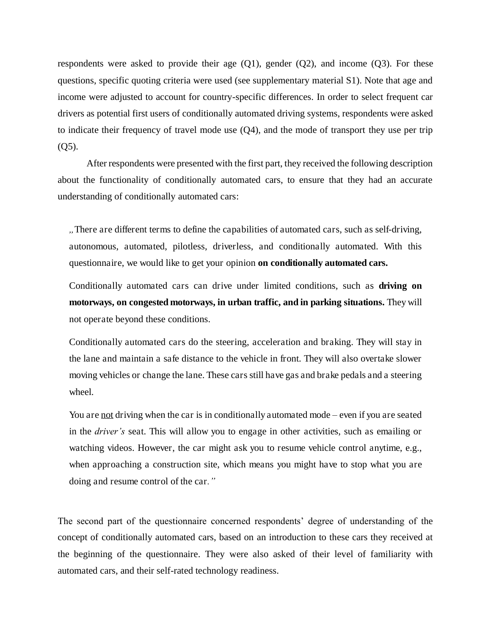respondents were asked to provide their age  $(Q1)$ , gender  $(Q2)$ , and income  $(Q3)$ . For these questions, specific quoting criteria were used (see supplementary material S1). Note that age and income were adjusted to account for country-specific differences. In order to select frequent car drivers as potential first users of conditionally automated driving systems, respondents were asked to indicate their frequency of travel mode use (Q4), and the mode of transport they use per trip (Q5).

After respondents were presented with the first part, they received the following description about the functionality of conditionally automated cars, to ensure that they had an accurate understanding of conditionally automated cars:

*"*There are different terms to define the capabilities of automated cars, such as self-driving, autonomous, automated, pilotless, driverless, and conditionally automated. With this questionnaire, we would like to get your opinion **on conditionally automated cars.**

Conditionally automated cars can drive under limited conditions, such as **driving on motorways, on congested motorways, in urban traffic, and in parking situations.** They will not operate beyond these conditions.

Conditionally automated cars do the steering, acceleration and braking. They will stay in the lane and maintain a safe distance to the vehicle in front. They will also overtake slower moving vehicles or change the lane. These cars still have gas and brake pedals and a steering wheel.

You are not driving when the car is in conditionally automated mode *–* even if you are seated in the *driver's* seat. This will allow you to engage in other activities, such as emailing or watching videos. However, the car might ask you to resume vehicle control anytime, e.g., when approaching a construction site, which means you might have to stop what you are doing and resume control of the car*."*

The second part of the questionnaire concerned respondents' degree of understanding of the concept of conditionally automated cars, based on an introduction to these cars they received at the beginning of the questionnaire. They were also asked of their level of familiarity with automated cars, and their self-rated technology readiness.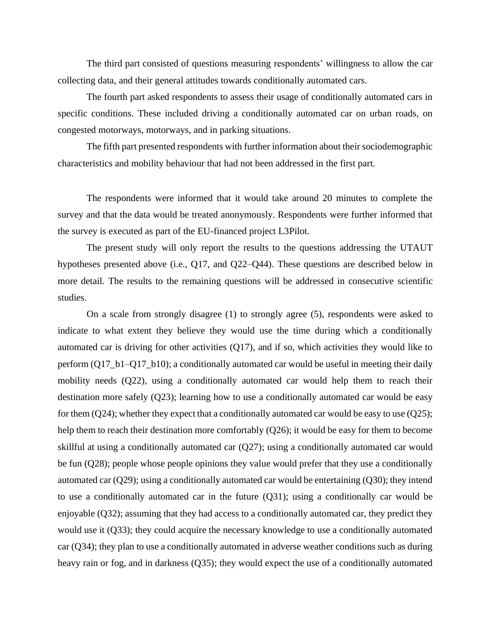The third part consisted of questions measuring respondents' willingness to allow the car collecting data, and their general attitudes towards conditionally automated cars.

The fourth part asked respondents to assess their usage of conditionally automated cars in specific conditions. These included driving a conditionally automated car on urban roads, on congested motorways, motorways, and in parking situations.

The fifth part presented respondents with further information about their sociodemographic characteristics and mobility behaviour that had not been addressed in the first part.

The respondents were informed that it would take around 20 minutes to complete the survey and that the data would be treated anonymously. Respondents were further informed that the survey is executed as part of the EU-financed project L3Pilot.

The present study will only report the results to the questions addressing the UTAUT hypotheses presented above (i.e., Q17, and Q22–Q44). These questions are described below in more detail. The results to the remaining questions will be addressed in consecutive scientific studies.

On a scale from strongly disagree (1) to strongly agree (5), respondents were asked to indicate to what extent they believe they would use the time during which a conditionally automated car is driving for other activities (Q17), and if so, which activities they would like to perform  $(Q17_b1-Q17_b10)$ ; a conditionally automated car would be useful in meeting their daily mobility needs (Q22), using a conditionally automated car would help them to reach their destination more safely (Q23); learning how to use a conditionally automated car would be easy for them  $(Q24)$ ; whether they expect that a conditionally automated car would be easy to use  $(Q25)$ ; help them to reach their destination more comfortably (Q26); it would be easy for them to become skillful at using a conditionally automated car (Q27); using a conditionally automated car would be fun (Q28); people whose people opinions they value would prefer that they use a conditionally automated car (Q29); using a conditionally automated car would be entertaining (Q30); they intend to use a conditionally automated car in the future (Q31); using a conditionally car would be enjoyable (Q32); assuming that they had access to a conditionally automated car, they predict they would use it (Q33); they could acquire the necessary knowledge to use a conditionally automated car (Q34); they plan to use a conditionally automated in adverse weather conditions such as during heavy rain or fog, and in darkness (Q35); they would expect the use of a conditionally automated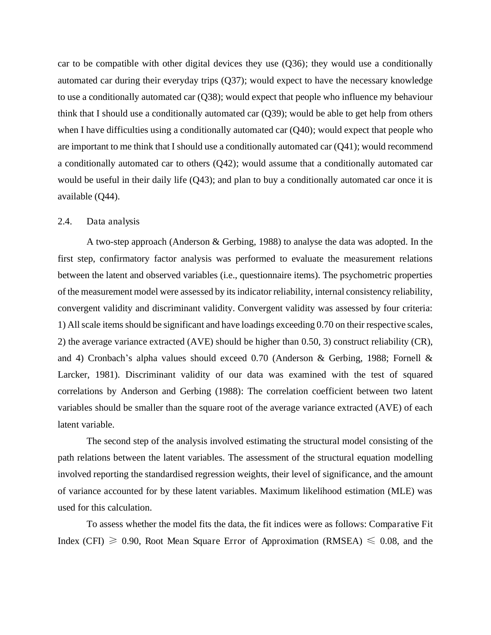car to be compatible with other digital devices they use (Q36); they would use a conditionally automated car during their everyday trips (Q37); would expect to have the necessary knowledge to use a conditionally automated car (Q38); would expect that people who influence my behaviour think that I should use a conditionally automated car (Q39); would be able to get help from others when I have difficulties using a conditionally automated car  $(Q40)$ ; would expect that people who are important to me think that I should use a conditionally automated car (Q41); would recommend a conditionally automated car to others (Q42); would assume that a conditionally automated car would be useful in their daily life  $(Q43)$ ; and plan to buy a conditionally automated car once it is available (Q44).

#### 2.4. Data analysis

A two-step approach (Anderson & Gerbing, 1988) to analyse the data was adopted. In the first step, confirmatory factor analysis was performed to evaluate the measurement relations between the latent and observed variables (i.e., questionnaire items). The psychometric properties of the measurement model were assessed by its indicator reliability, internal consistency reliability, convergent validity and discriminant validity. Convergent validity was assessed by four criteria: 1) All scale items should be significant and have loadings exceeding 0.70 on their respective scales, 2) the average variance extracted (AVE) should be higher than 0.50, 3) construct reliability (CR), and 4) Cronbach's alpha values should exceed 0.70 (Anderson & Gerbing, 1988; Fornell & Larcker, 1981). Discriminant validity of our data was examined with the test of squared correlations by Anderson and Gerbing (1988): The correlation coefficient between two latent variables should be smaller than the square root of the average variance extracted (AVE) of each latent variable.

The second step of the analysis involved estimating the structural model consisting of the path relations between the latent variables. The assessment of the structural equation modelling involved reporting the standardised regression weights, their level of significance, and the amount of variance accounted for by these latent variables. Maximum likelihood estimation (MLE) was used for this calculation.

To assess whether the model fits the data, the fit indices were as follows: Comparative Fit Index (CFI)  $\geq$  0.90, Root Mean Square Error of Approximation (RMSEA)  $\leq$  0.08, and the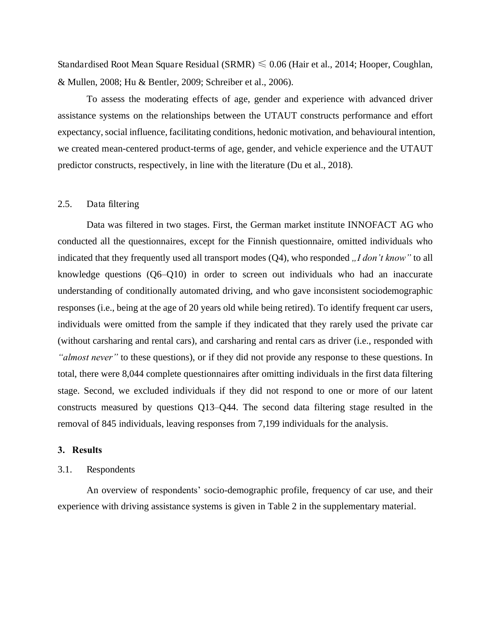Standardised Root Mean Square Residual (SRMR)  $\leq 0.06$  (Hair et al., 2014; Hooper, Coughlan, & Mullen, 2008; Hu & Bentler, 2009; Schreiber et al., 2006).

To assess the moderating effects of age, gender and experience with advanced driver assistance systems on the relationships between the UTAUT constructs performance and effort expectancy, social influence, facilitating conditions, hedonic motivation, and behavioural intention, we created mean-centered product-terms of age, gender, and vehicle experience and the UTAUT predictor constructs, respectively, in line with the literature (Du et al., 2018).

#### 2.5. Data filtering

Data was filtered in two stages. First, the German market institute INNOFACT AG who conducted all the questionnaires, except for the Finnish questionnaire, omitted individuals who indicated that they frequently used all transport modes (Q4), who responded *"I don't know"* to all knowledge questions (Q6–Q10) in order to screen out individuals who had an inaccurate understanding of conditionally automated driving, and who gave inconsistent sociodemographic responses (i.e., being at the age of 20 years old while being retired). To identify frequent car users, individuals were omitted from the sample if they indicated that they rarely used the private car (without carsharing and rental cars), and carsharing and rental cars as driver (i.e., responded with *"almost never"* to these questions), or if they did not provide any response to these questions. In total, there were 8,044 complete questionnaires after omitting individuals in the first data filtering stage. Second, we excluded individuals if they did not respond to one or more of our latent constructs measured by questions Q13–Q44. The second data filtering stage resulted in the removal of 845 individuals, leaving responses from 7,199 individuals for the analysis.

# **3. Results**

#### 3.1. Respondents

An overview of respondents' socio-demographic profile, frequency of car use, and their experience with driving assistance systems is given in Table 2 in the supplementary material.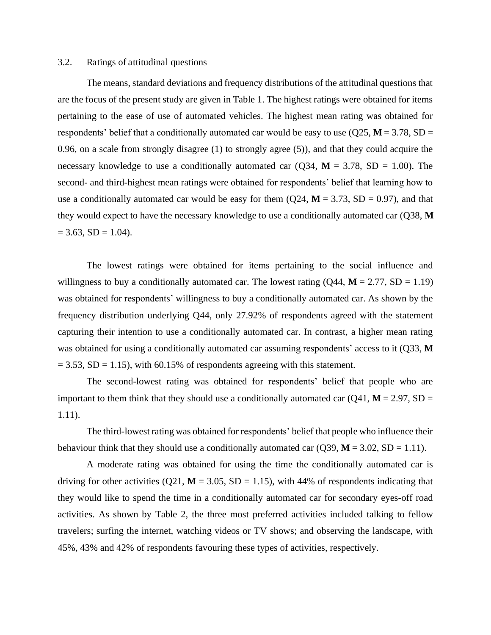#### 3.2. Ratings of attitudinal questions

The means, standard deviations and frequency distributions of the attitudinal questions that are the focus of the present study are given in Table 1. The highest ratings were obtained for items pertaining to the ease of use of automated vehicles. The highest mean rating was obtained for respondents' belief that a conditionally automated car would be easy to use  $(Q25, M = 3.78, SD =$ 0.96, on a scale from strongly disagree (1) to strongly agree (5)), and that they could acquire the necessary knowledge to use a conditionally automated car  $(Q34, M = 3.78, SD = 1.00)$ . The second- and third-highest mean ratings were obtained for respondents' belief that learning how to use a conditionally automated car would be easy for them  $(Q24, M = 3.73, SD = 0.97)$ , and that they would expect to have the necessary knowledge to use a conditionally automated car (Q38, **M**  $= 3.63$ , SD  $= 1.04$ ).

The lowest ratings were obtained for items pertaining to the social influence and willingness to buy a conditionally automated car. The lowest rating  $(Q44, M = 2.77, SD = 1.19)$ was obtained for respondents' willingness to buy a conditionally automated car. As shown by the frequency distribution underlying Q44, only 27.92% of respondents agreed with the statement capturing their intention to use a conditionally automated car. In contrast, a higher mean rating was obtained for using a conditionally automated car assuming respondents' access to it (Q33, **M**  $= 3.53$ , SD = 1.15), with 60.15% of respondents agreeing with this statement.

The second-lowest rating was obtained for respondents' belief that people who are important to them think that they should use a conditionally automated car  $(Q41, M = 2.97, SD =$ 1.11).

The third-lowest rating was obtained for respondents' belief that people who influence their behaviour think that they should use a conditionally automated car  $(Q39, M = 3.02, SD = 1.11)$ .

A moderate rating was obtained for using the time the conditionally automated car is driving for other activities (Q21,  $M = 3.05$ , SD = 1.15), with 44% of respondents indicating that they would like to spend the time in a conditionally automated car for secondary eyes-off road activities. As shown by Table 2, the three most preferred activities included talking to fellow travelers; surfing the internet, watching videos or TV shows; and observing the landscape, with 45%, 43% and 42% of respondents favouring these types of activities, respectively.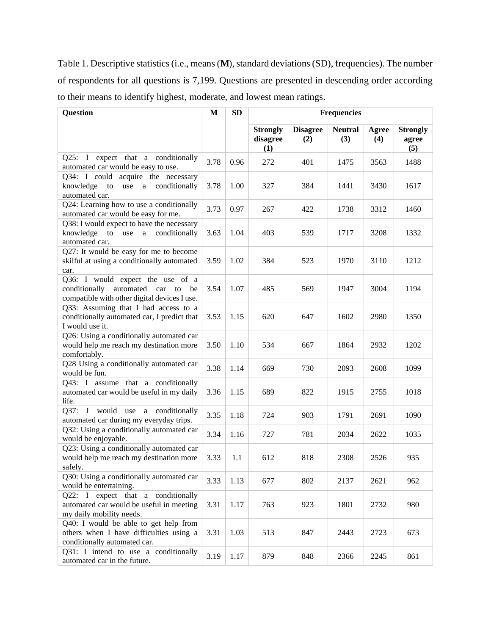Table 1. Descriptive statistics (i.e., means (**M**), standard deviations (SD), frequencies). The number of respondents for all questions is 7,199. Questions are presented in descending order according to their means to identify highest, moderate, and lowest mean ratings.

| <b>Question</b>                                                                                                       | M    | <b>SD</b> | <b>Frequencies</b>                 |                        |                       |              |                                 |
|-----------------------------------------------------------------------------------------------------------------------|------|-----------|------------------------------------|------------------------|-----------------------|--------------|---------------------------------|
|                                                                                                                       |      |           | <b>Strongly</b><br>disagree<br>(1) | <b>Disagree</b><br>(2) | <b>Neutral</b><br>(3) | Agree<br>(4) | <b>Strongly</b><br>agree<br>(5) |
| Q25: I expect that a conditionally<br>automated car would be easy to use.                                             | 3.78 | 0.96      | 272                                | 401                    | 1475                  | 3563         | 1488                            |
| Q34: I could acquire the necessary<br>conditionally<br>knowledge<br>${\rm to}$<br>use<br>a<br>automated car.          | 3.78 | 1.00      | 327                                | 384                    | 1441                  | 3430         | 1617                            |
| Q24: Learning how to use a conditionally<br>automated car would be easy for me.                                       | 3.73 | 0.97      | 267                                | 422                    | 1738                  | 3312         | 1460                            |
| Q38: I would expect to have the necessary<br>knowledge to use a conditionally<br>automated car.                       | 3.63 | 1.04      | 403                                | 539                    | 1717                  | 3208         | 1332                            |
| Q27: It would be easy for me to become<br>skilful at using a conditionally automated<br>car.                          | 3.59 | 1.02      | 384                                | 523                    | 1970                  | 3110         | 1212                            |
| Q36: I would expect the use of a<br>conditionally automated car to be<br>compatible with other digital devices I use. | 3.54 | 1.07      | 485                                | 569                    | 1947                  | 3004         | 1194                            |
| Q33: Assuming that I had access to a<br>conditionally automated car, I predict that<br>I would use it.                | 3.53 | 1.15      | 620                                | 647                    | 1602                  | 2980         | 1350                            |
| Q26: Using a conditionally automated car<br>would help me reach my destination more<br>comfortably.                   | 3.50 | 1.10      | 534                                | 667                    | 1864                  | 2932         | 1202                            |
| Q28 Using a conditionally automated car<br>would be fun.                                                              | 3.38 | 1.14      | 669                                | 730                    | 2093                  | 2608         | 1099                            |
| Q43: I assume that a conditionally<br>automated car would be useful in my daily<br>life.                              | 3.36 | 1.15      | 689                                | 822                    | 1915                  | 2755         | 1018                            |
| Q37: I would use a conditionally<br>automated car during my everyday trips.                                           | 3.35 | 1.18      | 724                                | 903                    | 1791                  | 2691         | 1090                            |
| Q32: Using a conditionally automated car<br>would be enjoyable.                                                       | 3.34 | 1.16      | 727                                | 781                    | 2034                  | 2622         | 1035                            |
| Q23: Using a conditionally automated car<br>would help me reach my destination more<br>safely.                        | 3.33 | 1.1       | 612                                | 818                    | 2308                  | 2526         | 935                             |
| Q30: Using a conditionally automated car<br>would be entertaining.                                                    | 3.33 | 1.13      | 677                                | 802                    | 2137                  | 2621         | 962                             |
| Q22: I expect that a conditionally<br>automated car would be useful in meeting<br>my daily mobility needs.            | 3.31 | 1.17      | 763                                | 923                    | 1801                  | 2732         | 980                             |
| Q40: I would be able to get help from<br>others when I have difficulties using a<br>conditionally automated car.      | 3.31 | 1.03      | 513                                | 847                    | 2443                  | 2723         | 673                             |
| Q31: I intend to use a conditionally<br>automated car in the future.                                                  | 3.19 | 1.17      | 879                                | 848                    | 2366                  | 2245         | 861                             |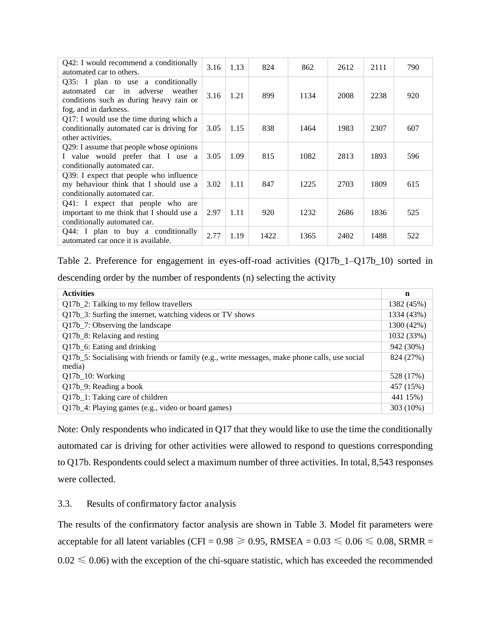| Q42: I would recommend a conditionally<br>automated car to others.                                                                               | 3.16 | 1.13 | 824  | 862  | 2612 | 2111 | 790 |
|--------------------------------------------------------------------------------------------------------------------------------------------------|------|------|------|------|------|------|-----|
| $Q35$ : I plan to use a conditionally<br>automated car in adverse<br>weather<br>conditions such as during heavy rain or<br>fog, and in darkness. | 3.16 | 1.21 | 899  | 1134 | 2008 | 2238 | 920 |
| Q17: I would use the time during which a<br>conditionally automated car is driving for<br>other activities.                                      | 3.05 | 1.15 | 838  | 1464 | 1983 | 2307 | 607 |
| Q29: I assume that people whose opinions<br>I value would prefer that I use a<br>conditionally automated car.                                    | 3.05 | 1.09 | 815  | 1082 | 2813 | 1893 | 596 |
| Q39: I expect that people who influence<br>my behaviour think that I should use a<br>conditionally automated car.                                | 3.02 | 1.11 | 847  | 1225 | 2703 | 1809 | 615 |
| Q41: I expect that people who are<br>important to me think that I should use a<br>conditionally automated car.                                   | 2.97 | 1.11 | 920  | 1232 | 2686 | 1836 | 525 |
| $Q44$ : I plan to buy a conditionally<br>automated car once it is available.                                                                     | 2.77 | 1.19 | 1422 | 1365 | 2402 | 1488 | 522 |

Table 2. Preference for engagement in eyes-off-road activities (Q17b\_1–Q17b\_10) sorted in descending order by the number of respondents (n) selecting the activity

| <b>Activities</b>                                                                                        | n          |
|----------------------------------------------------------------------------------------------------------|------------|
| Q17b_2: Talking to my fellow travellers                                                                  | 1382 (45%) |
| Q17b <sub>_3</sub> : Surfing the internet, watching videos or TV shows                                   | 1334 (43%) |
| Q17b_7: Observing the landscape                                                                          | 1300 (42%) |
| Q17b <sub>_8</sub> : Relaxing and resting                                                                | 1032 (33%) |
| Q17b_6: Eating and drinking                                                                              | 942 (30%)  |
| Q17b_5: Socialising with friends or family (e.g., write messages, make phone calls, use social<br>media) | 824 (27%)  |
| Q17b_10: Working                                                                                         | 528 (17%)  |
| Q17b_9: Reading a book                                                                                   | 457 (15%)  |
| Q17b_1: Taking care of children                                                                          | 441 15%)   |
| Q17b_4: Playing games (e.g., video or board games)                                                       | 303 (10%)  |

Note: Only respondents who indicated in Q17 that they would like to use the time the conditionally automated car is driving for other activities were allowed to respond to questions corresponding to Q17b. Respondents could select a maximum number of three activities. In total, 8,543 responses were collected.

# 3.3. Results of confirmatory factor analysis

The results of the confirmatory factor analysis are shown in Table 3. Model fit parameters were acceptable for all latent variables (CFI =  $0.98 \ge 0.95$ , RMSEA =  $0.03 \le 0.06 \le 0.08$ , SRMR =  $0.02 \le 0.06$ ) with the exception of the chi-square statistic, which has exceeded the recommended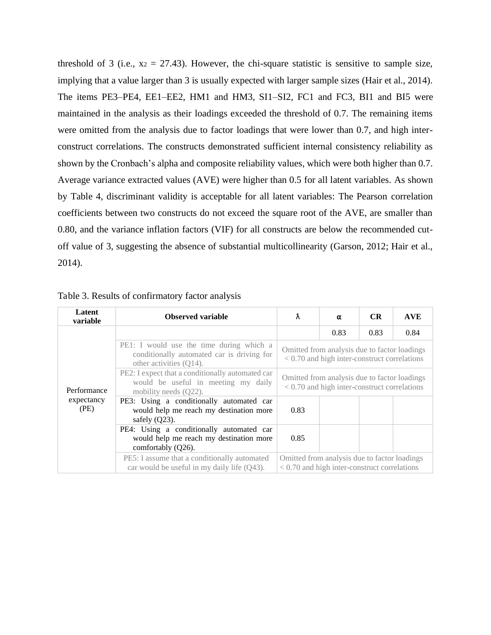threshold of 3 (i.e.,  $x_2 = 27.43$ ). However, the chi-square statistic is sensitive to sample size, implying that a value larger than 3 is usually expected with larger sample sizes (Hair et al., 2014). The items PE3–PE4, EE1–EE2, HM1 and HM3, SI1–SI2, FC1 and FC3, BI1 and BI5 were maintained in the analysis as their loadings exceeded the threshold of 0.7. The remaining items were omitted from the analysis due to factor loadings that were lower than 0.7, and high interconstruct correlations. The constructs demonstrated sufficient internal consistency reliability as shown by the Cronbach's alpha and composite reliability values, which were both higher than 0.7. Average variance extracted values (AVE) were higher than 0.5 for all latent variables. As shown by Table 4, discriminant validity is acceptable for all latent variables: The Pearson correlation coefficients between two constructs do not exceed the square root of the AVE, are smaller than 0.80, and the variance inflation factors (VIF) for all constructs are below the recommended cutoff value of 3, suggesting the absence of substantial multicollinearity (Garson, 2012; Hair et al., 2014).

| Latent<br>variable | <b>Observed variable</b>                                                                                          | Ã                                                                                              | α    | <b>CR</b> | <b>AVE</b> |  |  |
|--------------------|-------------------------------------------------------------------------------------------------------------------|------------------------------------------------------------------------------------------------|------|-----------|------------|--|--|
|                    |                                                                                                                   |                                                                                                | 0.83 | 0.83      | 0.84       |  |  |
|                    | PE1: I would use the time during which a<br>conditionally automated car is driving for<br>other activities (Q14). | Omitted from analysis due to factor loadings<br>$< 0.70$ and high inter-construct correlations |      |           |            |  |  |
| Performance        | PE2: I expect that a conditionally automated car<br>would be useful in meeting my daily<br>mobility needs (Q22).  | Omitted from analysis due to factor loadings<br>$< 0.70$ and high inter-construct correlations |      |           |            |  |  |
| expectancy<br>(PE) | PE3: Using a conditionally automated car<br>would help me reach my destination more<br>safely $(Q23)$ .           | 0.83                                                                                           |      |           |            |  |  |
|                    | PE4: Using a conditionally automated car<br>would help me reach my destination more<br>comfortably (Q26).         | 0.85                                                                                           |      |           |            |  |  |
|                    | PE5: I assume that a conditionally automated<br>car would be useful in my daily life (Q43).                       | Omitted from analysis due to factor loadings<br>$< 0.70$ and high inter-construct correlations |      |           |            |  |  |

Table 3. Results of confirmatory factor analysis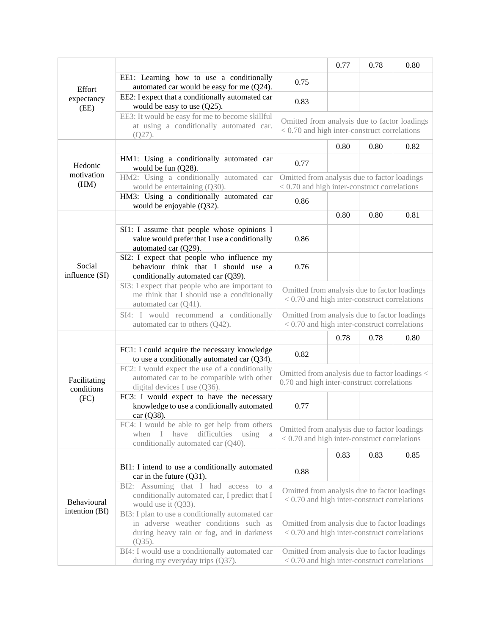|                                                                                                                       |                                                                                                                                                     |                                                                                                | 0.77 | 0.78 | 0.80 |
|-----------------------------------------------------------------------------------------------------------------------|-----------------------------------------------------------------------------------------------------------------------------------------------------|------------------------------------------------------------------------------------------------|------|------|------|
| Effort                                                                                                                | EE1: Learning how to use a conditionally<br>automated car would be easy for me (Q24).                                                               | 0.75                                                                                           |      |      |      |
| expectancy                                                                                                            | EE2: I expect that a conditionally automated car<br>would be easy to use $(Q25)$ .                                                                  | 0.83                                                                                           |      |      |      |
|                                                                                                                       | EE3: It would be easy for me to become skillful<br>at using a conditionally automated car.<br>$(Q27)$ .                                             | Omitted from analysis due to factor loadings<br>< 0.70 and high inter-construct correlations   |      |      |      |
|                                                                                                                       |                                                                                                                                                     |                                                                                                | 0.80 | 0.80 | 0.82 |
| Hedonic                                                                                                               | HM1: Using a conditionally automated car<br>would be fun (Q28).                                                                                     | 0.77                                                                                           |      |      |      |
| (HM)                                                                                                                  | HM2: Using a conditionally automated car<br>would be entertaining (Q30).                                                                            | Omitted from analysis due to factor loadings<br>< 0.70 and high inter-construct correlations   |      |      |      |
|                                                                                                                       | HM3: Using a conditionally automated car<br>would be enjoyable (Q32).                                                                               | 0.86                                                                                           |      |      |      |
|                                                                                                                       |                                                                                                                                                     |                                                                                                | 0.80 | 0.80 | 0.81 |
|                                                                                                                       | SI1: I assume that people whose opinions I<br>value would prefer that I use a conditionally<br>automated car (Q29).                                 | 0.86                                                                                           |      |      |      |
| (EE)<br>motivation<br>Social<br>influence (SI)<br>Facilitating<br>conditions<br>(FC)<br>Behavioural<br>intention (BI) | SI2: I expect that people who influence my<br>behaviour think that I should use a<br>conditionally automated car (Q39).                             | 0.76                                                                                           |      |      |      |
|                                                                                                                       | SI3: I expect that people who are important to<br>me think that I should use a conditionally<br>automated car (Q41).                                | Omitted from analysis due to factor loadings<br>$< 0.70$ and high inter-construct correlations |      |      |      |
|                                                                                                                       | SI4: I would recommend a conditionally<br>automated car to others (Q42).                                                                            | Omitted from analysis due to factor loadings<br>$< 0.70$ and high inter-construct correlations |      |      |      |
|                                                                                                                       |                                                                                                                                                     |                                                                                                | 0.78 | 0.78 | 0.80 |
|                                                                                                                       | FC1: I could acquire the necessary knowledge<br>to use a conditionally automated car (Q34).                                                         | 0.82                                                                                           |      |      |      |
|                                                                                                                       | FC2: I would expect the use of a conditionally<br>automated car to be compatible with other<br>digital devices I use (Q36).                         | Omitted from analysis due to factor loadings <<br>0.70 and high inter-construct correlations   |      |      |      |
|                                                                                                                       | FC3: I would expect to have the necessary<br>knowledge to use a conditionally automated<br>$car(Q38)$ .                                             | 0.77                                                                                           |      |      |      |
|                                                                                                                       | FC4: I would be able to get help from others<br>when I have<br>difficulties<br>using<br>a<br>conditionally automated car (Q40).                     | Omitted from analysis due to factor loadings<br>$< 0.70$ and high inter-construct correlations |      |      |      |
|                                                                                                                       |                                                                                                                                                     |                                                                                                | 0.83 | 0.83 | 0.85 |
|                                                                                                                       | BI1: I intend to use a conditionally automated<br>car in the future $(Q31)$ .                                                                       | 0.88                                                                                           |      |      |      |
|                                                                                                                       | BI2: Assuming that I had access to a<br>conditionally automated car, I predict that I<br>would use it $(Q33)$ .                                     | Omitted from analysis due to factor loadings<br>$< 0.70$ and high inter-construct correlations |      |      |      |
|                                                                                                                       | BI3: I plan to use a conditionally automated car<br>in adverse weather conditions such as<br>during heavy rain or fog, and in darkness<br>$(Q35)$ . | Omitted from analysis due to factor loadings<br>$< 0.70$ and high inter-construct correlations |      |      |      |
|                                                                                                                       | BI4: I would use a conditionally automated car<br>during my everyday trips (Q37).                                                                   | Omitted from analysis due to factor loadings<br>$< 0.70$ and high inter-construct correlations |      |      |      |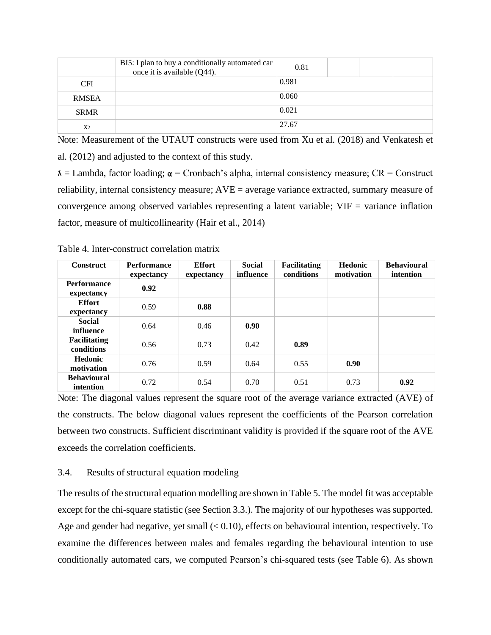|                | BI5: I plan to buy a conditionally automated car<br>once it is available (Q44). | 0.81  |  |  |
|----------------|---------------------------------------------------------------------------------|-------|--|--|
| <b>CFI</b>     |                                                                                 | 0.981 |  |  |
| <b>RMSEA</b>   |                                                                                 | 0.060 |  |  |
| <b>SRMR</b>    |                                                                                 | 0.021 |  |  |
| X <sub>2</sub> |                                                                                 | 27.67 |  |  |

Note: Measurement of the UTAUT constructs were used from Xu et al. (2018) and Venkatesh et al. (2012) and adjusted to the context of this study.

 $\lambda$  = Lambda, factor loading;  $\alpha$  = Cronbach's alpha, internal consistency measure; CR = Construct reliability, internal consistency measure; AVE = average variance extracted, summary measure of convergence among observed variables representing a latent variable; VIF = variance inflation factor, measure of multicollinearity (Hair et al., 2014)

| <b>Construct</b>                  | <b>Performance</b><br>expectancy | <b>Effort</b><br>expectancy | <b>Social</b><br>influence | <b>Facilitating</b><br>conditions | <b>Hedonic</b><br>motivation | <b>Behavioural</b><br>intention |
|-----------------------------------|----------------------------------|-----------------------------|----------------------------|-----------------------------------|------------------------------|---------------------------------|
| <b>Performance</b><br>expectancy  | 0.92                             |                             |                            |                                   |                              |                                 |
| <b>Effort</b><br>expectancy       | 0.59                             | 0.88                        |                            |                                   |                              |                                 |
| <b>Social</b><br>influence        | 0.64                             | 0.46                        | 0.90                       |                                   |                              |                                 |
| <b>Facilitating</b><br>conditions | 0.56                             | 0.73                        | 0.42                       | 0.89                              |                              |                                 |
| <b>Hedonic</b><br>motivation      | 0.76                             | 0.59                        | 0.64                       | 0.55                              | 0.90                         |                                 |
| <b>Behavioural</b><br>intention   | 0.72                             | 0.54                        | 0.70                       | 0.51                              | 0.73                         | 0.92                            |

Table 4. Inter-construct correlation matrix

Note: The diagonal values represent the square root of the average variance extracted (AVE) of the constructs. The below diagonal values represent the coefficients of the Pearson correlation between two constructs. Sufficient discriminant validity is provided if the square root of the AVE exceeds the correlation coefficients.

# 3.4. Results of structural equation modeling

The results of the structural equation modelling are shown in Table 5. The model fit was acceptable except for the chi-square statistic (see Section 3.3.). The majority of our hypotheses was supported. Age and gender had negative, yet small  $( $0.10$ ), effects on behavioural intention, respectively. To$ examine the differences between males and females regarding the behavioural intention to use conditionally automated cars, we computed Pearson's chi-squared tests (see Table 6). As shown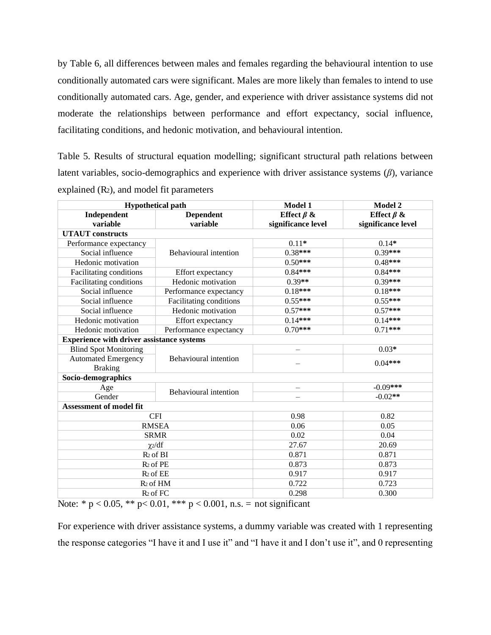by Table 6, all differences between males and females regarding the behavioural intention to use conditionally automated cars were significant. Males are more likely than females to intend to use conditionally automated cars. Age, gender, and experience with driver assistance systems did not moderate the relationships between performance and effort expectancy, social influence, facilitating conditions, and hedonic motivation, and behavioural intention.

Table 5. Results of structural equation modelling; significant structural path relations between latent variables, socio-demographics and experience with driver assistance systems  $(\beta)$ , variance explained (R2), and model fit parameters

| <b>Hypothetical path</b>                         |                         | Model 1            | Model 2            |  |
|--------------------------------------------------|-------------------------|--------------------|--------------------|--|
| Independent                                      | <b>Dependent</b>        | Effect $\beta$ &   | Effect $\beta$ &   |  |
| variable                                         | variable                | significance level | significance level |  |
| <b>UTAUT</b> constructs                          |                         |                    |                    |  |
| Performance expectancy                           |                         | $0.11*$            | $0.14*$            |  |
| Social influence                                 | Behavioural intention   | $0.38***$          | $0.39***$          |  |
| Hedonic motivation                               |                         | $0.50***$          | $0.48***$          |  |
| Facilitating conditions                          | Effort expectancy       | $0.84***$          | $0.84***$          |  |
| Facilitating conditions                          | Hedonic motivation      | $0.39**$           | $0.39***$          |  |
| Social influence                                 | Performance expectancy  | $0.18***$          | $0.18***$          |  |
| Social influence                                 | Facilitating conditions | $0.55***$          | $0.55***$          |  |
| Social influence                                 | Hedonic motivation      | $0.57***$          | $0.57***$          |  |
| Hedonic motivation                               | Effort expectancy       | $0.14***$          | $0.14***$          |  |
| Hedonic motivation                               | Performance expectancy  | $0.70***$          | $0.71***$          |  |
| <b>Experience with driver assistance systems</b> |                         |                    |                    |  |
| <b>Blind Spot Monitoring</b>                     |                         |                    | $0.03*$            |  |
| <b>Automated Emergency</b>                       | Behavioural intention   |                    | $0.04***$          |  |
| <b>Braking</b>                                   |                         |                    |                    |  |
| Socio-demographics                               |                         |                    |                    |  |
| Age                                              | Behavioural intention   |                    | $-0.09***$         |  |
| Gender                                           |                         |                    | $-0.02**$          |  |
| Assessment of model fit                          |                         |                    |                    |  |
|                                                  | <b>CFI</b>              | 0.98               | 0.82               |  |
|                                                  | <b>RMSEA</b>            | 0.06               | 0.05               |  |
|                                                  | <b>SRMR</b>             |                    | 0.04               |  |
|                                                  | $\chi$ <sub>2</sub> /df | 27.67              | 20.69              |  |
|                                                  | $R2$ of BI<br>0.871     |                    | 0.871              |  |
|                                                  | $R_2$ of $PE$           | 0.873              | 0.873              |  |
|                                                  | $R_2$ of $EE$           | 0.917              | 0.917              |  |
|                                                  | R <sub>2</sub> of HM    | 0.722              | 0.723              |  |
|                                                  | $R_2$ of FC             | 0.298              | 0.300              |  |

Note: \*  $p < 0.05$ , \*\*  $p < 0.01$ , \*\*\*  $p < 0.001$ , n.s. = not significant

For experience with driver assistance systems, a dummy variable was created with 1 representing the response categories "I have it and I use it" and "I have it and I don't use it", and 0 representing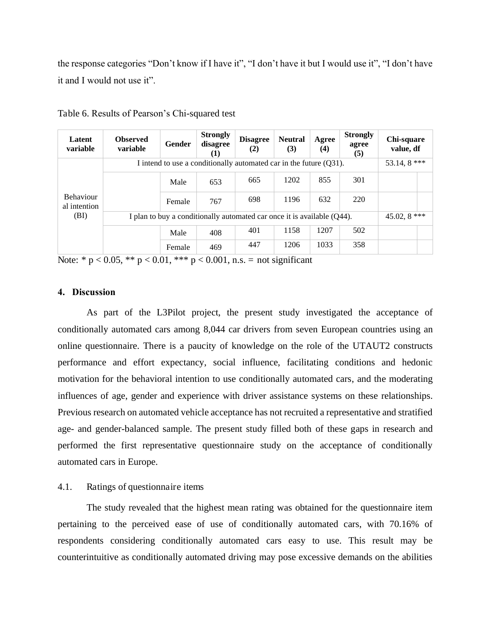the response categories "Don't know if I have it", "I don't have it but I would use it", "I don't have it and I would not use it".

| Latent<br>variable                       | <b>Observed</b><br>variable | Gender                                                                  | <b>Strongly</b><br>disagree<br>(1) | <b>Disagree</b><br>(2) | <b>Neutral</b><br>(3) | Agree<br>(4) | <b>Strongly</b><br>agree<br>(5) | Chi-square<br>value, df |               |  |
|------------------------------------------|-----------------------------|-------------------------------------------------------------------------|------------------------------------|------------------------|-----------------------|--------------|---------------------------------|-------------------------|---------------|--|
| <b>Behaviour</b><br>al intention<br>(BI) |                             | I intend to use a conditionally automated car in the future (Q31).      |                                    |                        |                       |              |                                 |                         |               |  |
|                                          |                             | Male                                                                    | 653                                | 665                    | 1202                  | 855          | 301                             |                         |               |  |
|                                          |                             | Female                                                                  | 767                                | 698                    | 1196                  | 632          | 220                             |                         |               |  |
|                                          |                             | I plan to buy a conditionally automated car once it is available (Q44). |                                    |                        |                       |              |                                 |                         | 45.02, $8***$ |  |
|                                          |                             | Male                                                                    | 408                                | 401                    | 1158                  | 1207         | 502                             |                         |               |  |
|                                          |                             | Female                                                                  | 469                                | 447                    | 1206                  | 1033         | 358                             |                         |               |  |

Table 6. Results of Pearson's Chi-squared test

Note: \*  $p < 0.05$ , \*\*  $p < 0.01$ , \*\*\*  $p < 0.001$ , n.s. = not significant

# **4. Discussion**

As part of the L3Pilot project, the present study investigated the acceptance of conditionally automated cars among 8,044 car drivers from seven European countries using an online questionnaire. There is a paucity of knowledge on the role of the UTAUT2 constructs performance and effort expectancy, social influence, facilitating conditions and hedonic motivation for the behavioral intention to use conditionally automated cars, and the moderating influences of age, gender and experience with driver assistance systems on these relationships. Previous research on automated vehicle acceptance has not recruited a representative and stratified age- and gender-balanced sample. The present study filled both of these gaps in research and performed the first representative questionnaire study on the acceptance of conditionally automated cars in Europe.

# 4.1. Ratings of questionnaire items

The study revealed that the highest mean rating was obtained for the questionnaire item pertaining to the perceived ease of use of conditionally automated cars, with 70.16% of respondents considering conditionally automated cars easy to use. This result may be counterintuitive as conditionally automated driving may pose excessive demands on the abilities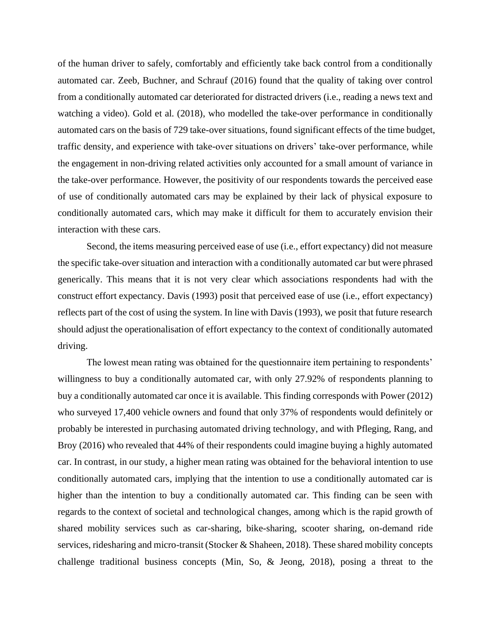of the human driver to safely, comfortably and efficiently take back control from a conditionally automated car. Zeeb, Buchner, and Schrauf (2016) found that the quality of taking over control from a conditionally automated car deteriorated for distracted drivers (i.e., reading a news text and watching a video). Gold et al. (2018), who modelled the take-over performance in conditionally automated cars on the basis of 729 take-over situations, found significant effects of the time budget, traffic density, and experience with take-over situations on drivers' take-over performance, while the engagement in non-driving related activities only accounted for a small amount of variance in the take-over performance. However, the positivity of our respondents towards the perceived ease of use of conditionally automated cars may be explained by their lack of physical exposure to conditionally automated cars, which may make it difficult for them to accurately envision their interaction with these cars.

Second, the items measuring perceived ease of use (i.e., effort expectancy) did not measure the specific take-over situation and interaction with a conditionally automated car but were phrased generically. This means that it is not very clear which associations respondents had with the construct effort expectancy. Davis (1993) posit that perceived ease of use (i.e., effort expectancy) reflects part of the cost of using the system. In line with Davis (1993), we posit that future research should adjust the operationalisation of effort expectancy to the context of conditionally automated driving.

The lowest mean rating was obtained for the questionnaire item pertaining to respondents' willingness to buy a conditionally automated car, with only 27.92% of respondents planning to buy a conditionally automated car once it is available. This finding corresponds with Power (2012) who surveyed 17,400 vehicle owners and found that only 37% of respondents would definitely or probably be interested in purchasing automated driving technology, and with Pfleging, Rang, and Broy (2016) who revealed that 44% of their respondents could imagine buying a highly automated car. In contrast, in our study, a higher mean rating was obtained for the behavioral intention to use conditionally automated cars, implying that the intention to use a conditionally automated car is higher than the intention to buy a conditionally automated car. This finding can be seen with regards to the context of societal and technological changes, among which is the rapid growth of shared mobility services such as car-sharing, bike-sharing, scooter sharing, on-demand ride services, ridesharing and micro-transit (Stocker & Shaheen, 2018). These shared mobility concepts challenge traditional business concepts (Min, So, & Jeong, 2018), posing a threat to the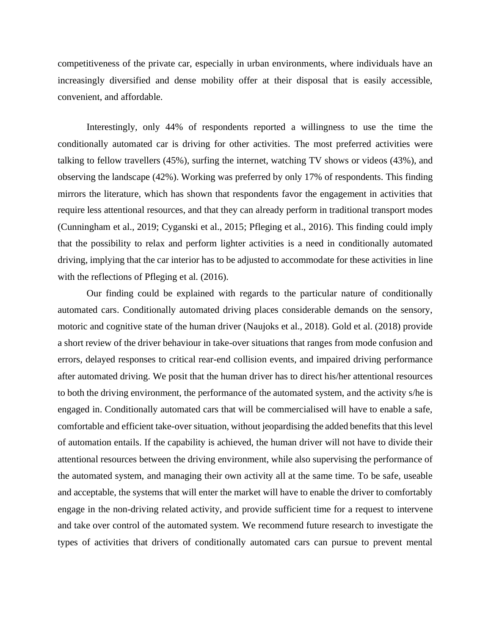competitiveness of the private car, especially in urban environments, where individuals have an increasingly diversified and dense mobility offer at their disposal that is easily accessible, convenient, and affordable.

Interestingly, only 44% of respondents reported a willingness to use the time the conditionally automated car is driving for other activities. The most preferred activities were talking to fellow travellers (45%), surfing the internet, watching TV shows or videos (43%), and observing the landscape (42%). Working was preferred by only 17% of respondents. This finding mirrors the literature, which has shown that respondents favor the engagement in activities that require less attentional resources, and that they can already perform in traditional transport modes (Cunningham et al., 2019; Cyganski et al., 2015; Pfleging et al., 2016). This finding could imply that the possibility to relax and perform lighter activities is a need in conditionally automated driving, implying that the car interior has to be adjusted to accommodate for these activities in line with the reflections of Pfleging et al.  $(2016)$ .

Our finding could be explained with regards to the particular nature of conditionally automated cars. Conditionally automated driving places considerable demands on the sensory, motoric and cognitive state of the human driver (Naujoks et al., 2018). Gold et al. (2018) provide a short review of the driver behaviour in take-over situations that ranges from mode confusion and errors, delayed responses to critical rear-end collision events, and impaired driving performance after automated driving. We posit that the human driver has to direct his/her attentional resources to both the driving environment, the performance of the automated system, and the activity s/he is engaged in. Conditionally automated cars that will be commercialised will have to enable a safe, comfortable and efficient take-over situation, without jeopardising the added benefits that this level of automation entails. If the capability is achieved, the human driver will not have to divide their attentional resources between the driving environment, while also supervising the performance of the automated system, and managing their own activity all at the same time. To be safe, useable and acceptable, the systems that will enter the market will have to enable the driver to comfortably engage in the non-driving related activity, and provide sufficient time for a request to intervene and take over control of the automated system. We recommend future research to investigate the types of activities that drivers of conditionally automated cars can pursue to prevent mental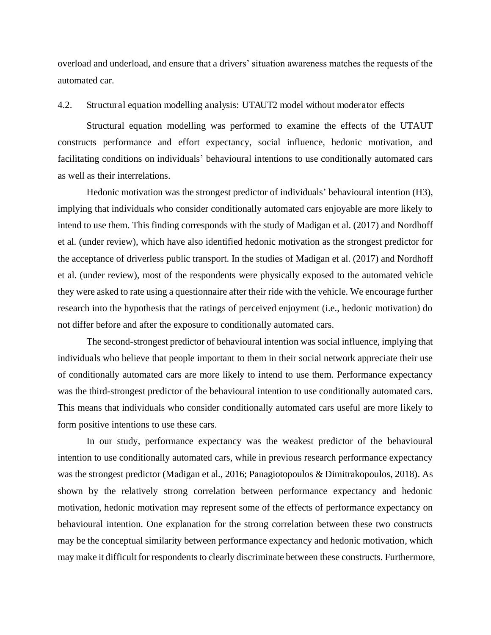overload and underload, and ensure that a drivers' situation awareness matches the requests of the automated car.

## 4.2. Structural equation modelling analysis: UTAUT2 model without moderator effects

Structural equation modelling was performed to examine the effects of the UTAUT constructs performance and effort expectancy, social influence, hedonic motivation, and facilitating conditions on individuals' behavioural intentions to use conditionally automated cars as well as their interrelations.

Hedonic motivation was the strongest predictor of individuals' behavioural intention (H3), implying that individuals who consider conditionally automated cars enjoyable are more likely to intend to use them. This finding corresponds with the study of Madigan et al. (2017) and Nordhoff et al. (under review), which have also identified hedonic motivation as the strongest predictor for the acceptance of driverless public transport. In the studies of Madigan et al. (2017) and Nordhoff et al. (under review), most of the respondents were physically exposed to the automated vehicle they were asked to rate using a questionnaire after their ride with the vehicle. We encourage further research into the hypothesis that the ratings of perceived enjoyment (i.e., hedonic motivation) do not differ before and after the exposure to conditionally automated cars.

The second-strongest predictor of behavioural intention was social influence, implying that individuals who believe that people important to them in their social network appreciate their use of conditionally automated cars are more likely to intend to use them. Performance expectancy was the third-strongest predictor of the behavioural intention to use conditionally automated cars. This means that individuals who consider conditionally automated cars useful are more likely to form positive intentions to use these cars.

In our study, performance expectancy was the weakest predictor of the behavioural intention to use conditionally automated cars, while in previous research performance expectancy was the strongest predictor (Madigan et al., 2016; Panagiotopoulos & Dimitrakopoulos, 2018). As shown by the relatively strong correlation between performance expectancy and hedonic motivation, hedonic motivation may represent some of the effects of performance expectancy on behavioural intention. One explanation for the strong correlation between these two constructs may be the conceptual similarity between performance expectancy and hedonic motivation, which may make it difficult for respondents to clearly discriminate between these constructs. Furthermore,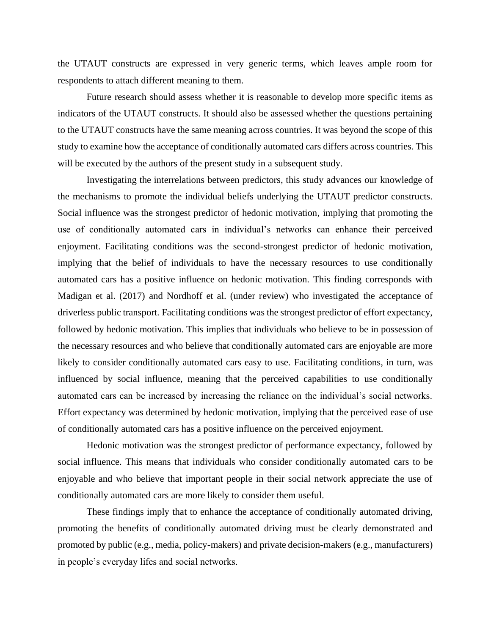the UTAUT constructs are expressed in very generic terms, which leaves ample room for respondents to attach different meaning to them.

Future research should assess whether it is reasonable to develop more specific items as indicators of the UTAUT constructs. It should also be assessed whether the questions pertaining to the UTAUT constructs have the same meaning across countries. It was beyond the scope of this study to examine how the acceptance of conditionally automated cars differs across countries. This will be executed by the authors of the present study in a subsequent study.

Investigating the interrelations between predictors, this study advances our knowledge of the mechanisms to promote the individual beliefs underlying the UTAUT predictor constructs. Social influence was the strongest predictor of hedonic motivation, implying that promoting the use of conditionally automated cars in individual's networks can enhance their perceived enjoyment. Facilitating conditions was the second-strongest predictor of hedonic motivation, implying that the belief of individuals to have the necessary resources to use conditionally automated cars has a positive influence on hedonic motivation. This finding corresponds with Madigan et al. (2017) and Nordhoff et al. (under review) who investigated the acceptance of driverless public transport. Facilitating conditions was the strongest predictor of effort expectancy, followed by hedonic motivation. This implies that individuals who believe to be in possession of the necessary resources and who believe that conditionally automated cars are enjoyable are more likely to consider conditionally automated cars easy to use. Facilitating conditions, in turn, was influenced by social influence, meaning that the perceived capabilities to use conditionally automated cars can be increased by increasing the reliance on the individual's social networks. Effort expectancy was determined by hedonic motivation, implying that the perceived ease of use of conditionally automated cars has a positive influence on the perceived enjoyment.

Hedonic motivation was the strongest predictor of performance expectancy, followed by social influence. This means that individuals who consider conditionally automated cars to be enjoyable and who believe that important people in their social network appreciate the use of conditionally automated cars are more likely to consider them useful.

These findings imply that to enhance the acceptance of conditionally automated driving, promoting the benefits of conditionally automated driving must be clearly demonstrated and promoted by public (e.g., media, policy-makers) and private decision-makers (e.g., manufacturers) in people's everyday lifes and social networks.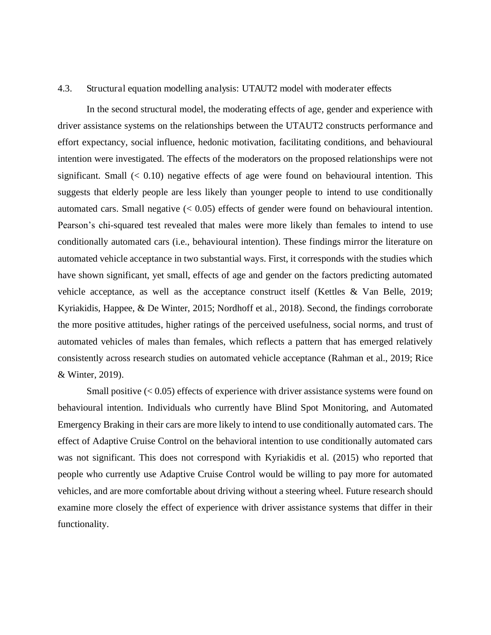# 4.3. Structural equation modelling analysis: UTAUT2 model with moderater effects

In the second structural model, the moderating effects of age, gender and experience with driver assistance systems on the relationships between the UTAUT2 constructs performance and effort expectancy, social influence, hedonic motivation, facilitating conditions, and behavioural intention were investigated. The effects of the moderators on the proposed relationships were not significant. Small  $( $0.10$ ) negative effects of age were found on behavioural intention. This$ suggests that elderly people are less likely than younger people to intend to use conditionally automated cars. Small negative  $( $0.05$ ) effects of gender were found on behavioural intention.$ Pearson's chi-squared test revealed that males were more likely than females to intend to use conditionally automated cars (i.e., behavioural intention). These findings mirror the literature on automated vehicle acceptance in two substantial ways. First, it corresponds with the studies which have shown significant, yet small, effects of age and gender on the factors predicting automated vehicle acceptance, as well as the acceptance construct itself (Kettles & Van Belle, 2019; Kyriakidis, Happee, & De Winter, 2015; Nordhoff et al., 2018). Second, the findings corroborate the more positive attitudes, higher ratings of the perceived usefulness, social norms, and trust of automated vehicles of males than females, which reflects a pattern that has emerged relatively consistently across research studies on automated vehicle acceptance (Rahman et al., 2019; Rice & Winter, 2019).

Small positive  $( $0.05$ ) effects of experience with driver assistance systems were found on$ behavioural intention. Individuals who currently have Blind Spot Monitoring, and Automated Emergency Braking in their cars are more likely to intend to use conditionally automated cars. The effect of Adaptive Cruise Control on the behavioral intention to use conditionally automated cars was not significant. This does not correspond with Kyriakidis et al. (2015) who reported that people who currently use Adaptive Cruise Control would be willing to pay more for automated vehicles, and are more comfortable about driving without a steering wheel. Future research should examine more closely the effect of experience with driver assistance systems that differ in their functionality.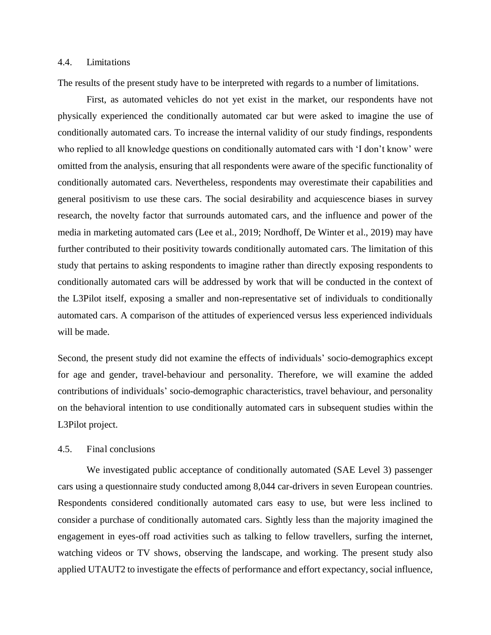# 4.4. Limitations

The results of the present study have to be interpreted with regards to a number of limitations.

First, as automated vehicles do not yet exist in the market, our respondents have not physically experienced the conditionally automated car but were asked to imagine the use of conditionally automated cars. To increase the internal validity of our study findings, respondents who replied to all knowledge questions on conditionally automated cars with 'I don't know' were omitted from the analysis, ensuring that all respondents were aware of the specific functionality of conditionally automated cars. Nevertheless, respondents may overestimate their capabilities and general positivism to use these cars. The social desirability and acquiescence biases in survey research, the novelty factor that surrounds automated cars, and the influence and power of the media in marketing automated cars (Lee et al., 2019; Nordhoff, De Winter et al., 2019) may have further contributed to their positivity towards conditionally automated cars. The limitation of this study that pertains to asking respondents to imagine rather than directly exposing respondents to conditionally automated cars will be addressed by work that will be conducted in the context of the L3Pilot itself, exposing a smaller and non-representative set of individuals to conditionally automated cars. A comparison of the attitudes of experienced versus less experienced individuals will be made.

Second, the present study did not examine the effects of individuals' socio-demographics except for age and gender, travel-behaviour and personality. Therefore, we will examine the added contributions of individuals' socio-demographic characteristics, travel behaviour, and personality on the behavioral intention to use conditionally automated cars in subsequent studies within the L3Pilot project.

# 4.5. Final conclusions

We investigated public acceptance of conditionally automated (SAE Level 3) passenger cars using a questionnaire study conducted among 8,044 car-drivers in seven European countries. Respondents considered conditionally automated cars easy to use, but were less inclined to consider a purchase of conditionally automated cars. Sightly less than the majority imagined the engagement in eyes-off road activities such as talking to fellow travellers, surfing the internet, watching videos or TV shows, observing the landscape, and working. The present study also applied UTAUT2 to investigate the effects of performance and effort expectancy, social influence,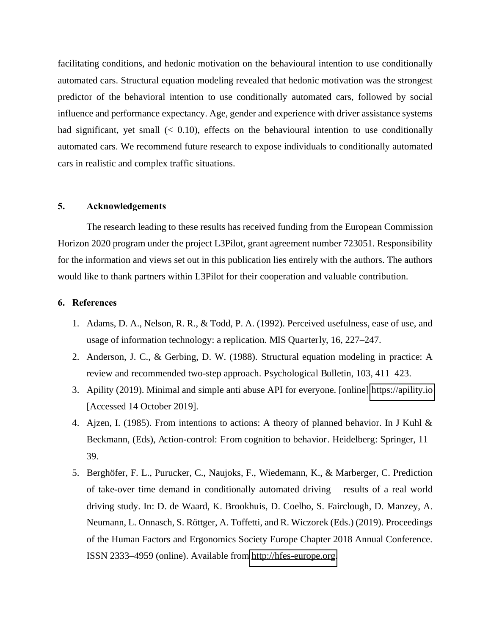facilitating conditions, and hedonic motivation on the behavioural intention to use conditionally automated cars. Structural equation modeling revealed that hedonic motivation was the strongest predictor of the behavioral intention to use conditionally automated cars, followed by social influence and performance expectancy. Age, gender and experience with driver assistance systems had significant, yet small  $( $0.10$ ), effects on the behavioural intention to use conditionally$ automated cars. We recommend future research to expose individuals to conditionally automated cars in realistic and complex traffic situations.

#### **5. Acknowledgements**

The research leading to these results has received funding from the European Commission Horizon 2020 program under the project L3Pilot, grant agreement number 723051. Responsibility for the information and views set out in this publication lies entirely with the authors. The authors would like to thank partners within L3Pilot for their cooperation and valuable contribution.

#### **6. References**

- 1. Adams, D. A., Nelson, R. R., & Todd, P. A. (1992). Perceived usefulness, ease of use, and usage of information technology: a replication. MIS Quarterly, 16, 227–247.
- 2. Anderson, J. C., & Gerbing, D. W. (1988). Structural equation modeling in practice: A review and recommended two-step approach. Psychological Bulletin, 103, 411–423.
- 3. Apility (2019). Minimal and simple anti abuse API for everyone. [online] [https://apility.io](https://apility.io/)  [Accessed 14 October 2019].
- 4. Ajzen, I. (1985). From intentions to actions: A theory of planned behavior. In J Kuhl & Beckmann, (Eds), Action-control: From cognition to behavior. Heidelberg: Springer, 11– 39.
- 5. Berghöfer, F. L., Purucker, C., Naujoks, F., Wiedemann, K., & Marberger, C. Prediction of take-over time demand in conditionally automated driving – results of a real world driving study. In: D. de Waard, K. Brookhuis, D. Coelho, S. Fairclough, D. Manzey, A. Neumann, L. Onnasch, S. Röttger, A. Toffetti, and R. Wiczorek (Eds.) (2019). Proceedings of the Human Factors and Ergonomics Society Europe Chapter 2018 Annual Conference. ISSN 2333–4959 (online). Available from [http://hfes-europe.org.](http://hfes-europe.org/)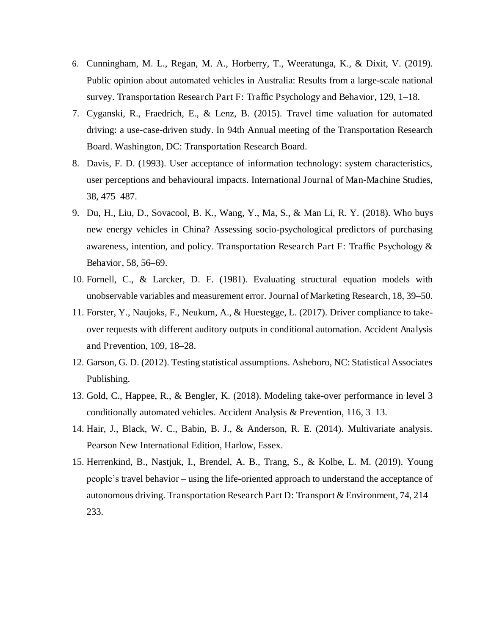- 6. Cunningham, M. L., Regan, M. A., Horberry, T., Weeratunga, K., & Dixit, V. (2019). Public opinion about automated vehicles in Australia: Results from a large-scale national survey. Transportation Research Part F: Traffic Psychology and Behavior, 129, 1–18.
- 7. Cyganski, R., Fraedrich, E., & Lenz, B. (2015). Travel time valuation for automated driving: a use-case-driven study. In 94th Annual meeting of the Transportation Research Board. Washington, DC: Transportation Research Board.
- 8. Davis, F. D. (1993). User acceptance of information technology: system characteristics, user perceptions and behavioural impacts. International Journal of Man-Machine Studies, 38, 475–487.
- 9. Du, H., Liu, D., Sovacool, B. K., Wang, Y., Ma, S., & Man Li, R. Y. (2018). Who buys new energy vehicles in China? Assessing socio-psychological predictors of purchasing awareness, intention, and policy. Transportation Research Part F: Traffic Psychology & Behavior, 58, 56–69.
- 10. Fornell, C., & Larcker, D. F. (1981). Evaluating structural equation models with unobservable variables and measurement error. Journal of Marketing Research, 18, 39–50.
- 11. Forster, Y., Naujoks, F., Neukum, A., & Huestegge, L. (2017). Driver compliance to takeover requests with different auditory outputs in conditional automation. Accident Analysis and Prevention, 109, 18–28.
- 12. Garson, G. D. (2012). Testing statistical assumptions. Asheboro, NC: Statistical Associates Publishing.
- 13. Gold, C., Happee, R., & Bengler, K. (2018). Modeling take-over performance in level 3 conditionally automated vehicles. Accident Analysis & Prevention, 116, 3–13.
- 14. Hair, J., Black, W. C., Babin, B. J., & Anderson, R. E. (2014). Multivariate analysis. Pearson New International Edition, Harlow, Essex.
- 15. Herrenkind, B., Nastjuk, I., Brendel, A. B., Trang, S., & Kolbe, L. M. (2019). Young people's travel behavior – using the life-oriented approach to understand the acceptance of autonomous driving. Transportation Research Part D: Transport & Environment, 74, 214– 233.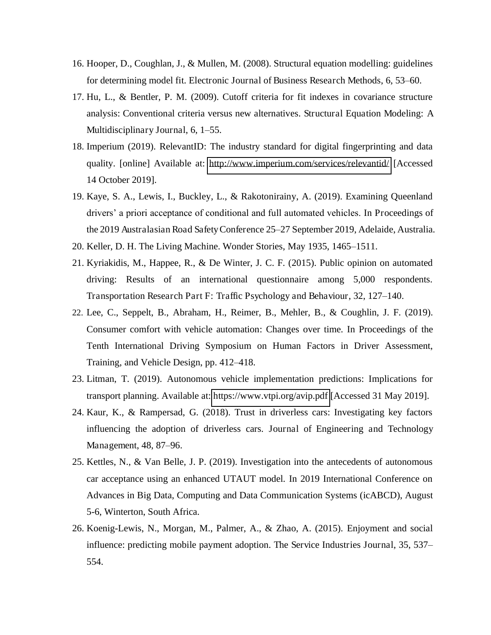- 16. Hooper, D., Coughlan, J., & Mullen, M. (2008). Structural equation modelling: guidelines for determining model fit. Electronic Journal of Business Research Methods, 6, 53–60.
- 17. Hu, L., & Bentler, P. M. (2009). Cutoff criteria for fit indexes in covariance structure analysis: Conventional criteria versus new alternatives. Structural Equation Modeling: A Multidisciplinary Journal, 6, 1–55.
- 18. Imperium (2019). RelevantID: The industry standard for digital fingerprinting and data quality. [online] Available at: <http://www.imperium.com/services/relevantid/>[Accessed 14 October 2019].
- 19. Kaye, S. A., Lewis, I., Buckley, L., & Rakotonirainy, A. (2019). Examining Queenland drivers' a priori acceptance of conditional and full automated vehicles. In Proceedings of the 2019 Australasian Road Safety Conference 25–27 September 2019, Adelaide, Australia.
- 20. Keller, D. H. The Living Machine. Wonder Stories, May 1935, 1465–1511.
- 21. Kyriakidis, M., Happee, R., & De Winter, J. C. F. (2015). Public opinion on automated driving: Results of an international questionnaire among 5,000 respondents. Transportation Research Part F: Traffic Psychology and Behaviour, 32, 127–140.
- 22. Lee, C., Seppelt, B., Abraham, H., Reimer, B., Mehler, B., & Coughlin, J. F. (2019). Consumer comfort with vehicle automation: Changes over time. In Proceedings of the Tenth International Driving Symposium on Human Factors in Driver Assessment, Training, and Vehicle Design, pp. 412–418.
- 23. Litman, T. (2019). Autonomous vehicle implementation predictions: Implications for transport planning. Available at:<https://www.vtpi.org/avip.pdf>[Accessed 31 May 2019].
- 24. Kaur, K., & Rampersad, G. (2018). Trust in driverless cars: Investigating key factors influencing the adoption of driverless cars. Journal of Engineering and Technology Management, 48, 87–96.
- 25. Kettles, N., & Van Belle, J. P. (2019). Investigation into the antecedents of autonomous car acceptance using an enhanced UTAUT model. In 2019 International Conference on Advances in Big Data, Computing and Data Communication Systems (icABCD), August 5-6, Winterton, South Africa.
- 26. Koenig-Lewis, N., Morgan, M., Palmer, A., & Zhao, A. (2015). Enjoyment and social influence: predicting mobile payment adoption. The Service Industries Journal, 35, 537– 554.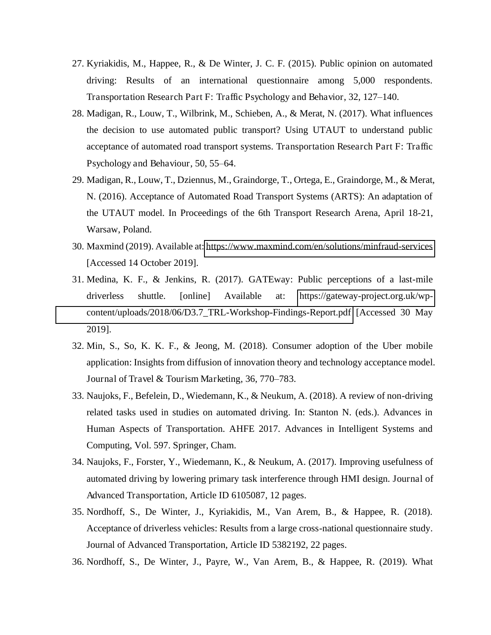- 27. Kyriakidis, M., Happee, R., & De Winter, J. C. F. (2015). Public opinion on automated driving: Results of an international questionnaire among 5,000 respondents. Transportation Research Part F: Traffic Psychology and Behavior, 32, 127–140.
- 28. Madigan, R., Louw, T., Wilbrink, M., Schieben, A., & Merat, N. (2017). What influences the decision to use automated public transport? Using UTAUT to understand public acceptance of automated road transport systems. Transportation Research Part F: Traffic Psychology and Behaviour, 50, 55–64.
- 29. Madigan, R., Louw, T., Dziennus, M., Graindorge, T., Ortega, E., Graindorge, M., & Merat, N. (2016). Acceptance of Automated Road Transport Systems (ARTS): An adaptation of the UTAUT model. In Proceedings of the 6th Transport Research Arena, April 18-21, Warsaw, Poland.
- 30. Maxmind (2019). Available at:<https://www.maxmind.com/en/solutions/minfraud-services> [Accessed 14 October 2019].
- 31. Medina, K. F., & Jenkins, R. (2017). GATEway: Public perceptions of a last-mile driverless shuttle. [online] Available at: [https://gateway-project.org.uk/wp](https://gateway-project.org.uk/wp-content/uploads/2018/06/d3.7_trl-workshop-findings-report.pdf)[content/uploads/2018/06/D3.7\\_TRL-Workshop-Findings-Report.pdf](https://gateway-project.org.uk/wp-content/uploads/2018/06/d3.7_trl-workshop-findings-report.pdf) [Accessed 30 May 2019].
- 32. Min, S., So, K. K. F., & Jeong, M. (2018). Consumer adoption of the Uber mobile application: Insights from diffusion of innovation theory and technology acceptance model. Journal of Travel & Tourism Marketing, 36, 770–783.
- 33. Naujoks, F., Befelein, D., Wiedemann, K., & Neukum, A. (2018). A review of non-driving related tasks used in studies on automated driving. In: Stanton N. (eds.). Advances in Human Aspects of Transportation. AHFE 2017. Advances in Intelligent Systems and Computing, Vol. 597. Springer, Cham.
- 34. Naujoks, F., Forster, Y., Wiedemann, K., & Neukum, A. (2017). Improving usefulness of automated driving by lowering primary task interference through HMI design. Journal of Advanced Transportation, Article ID 6105087, 12 pages.
- 35. Nordhoff, S., De Winter, J., Kyriakidis, M., Van Arem, B., & Happee, R. (2018). Acceptance of driverless vehicles: Results from a large cross-national questionnaire study. Journal of Advanced Transportation, Article ID 5382192, 22 pages.
- 36. Nordhoff, S., De Winter, J., Payre, W., Van Arem, B., & Happee, R. (2019). What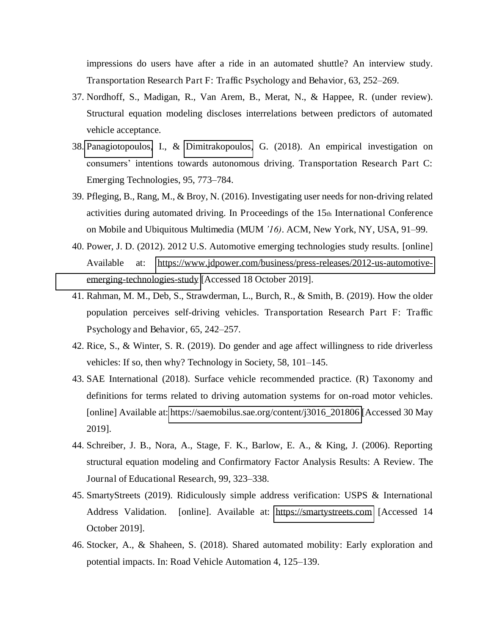impressions do users have after a ride in an automated shuttle? An interview study. Transportation Research Part F: Traffic Psychology and Behavior, 63, 252–269.

- 37. Nordhoff, S., Madigan, R., Van Arem, B., Merat, N., & Happee, R. (under review). Structural equation modeling discloses interrelations between predictors of automated vehicle acceptance.
- 38. [Panagiotopoulos,](https://www.sciencedirect.com/science/article/pii/S0968090X1830086X?dgcid=rss_sd_all#!) I., & [Dimitrakopoulos,](https://www.sciencedirect.com/science/article/pii/S0968090X1830086X?dgcid=rss_sd_all#!) G. (2018). An empirical investigation on consumers' intentions towards autonomous driving. Transportation Research Part C: Emerging Technologies, 95, 773–784.
- 39. Pfleging, B., Rang, M., & Broy, N. (2016). Investigating user needs for non-driving related activities during automated driving. In Proceedings of the 15th International Conference on Mobile and Ubiquitous Multimedia (MUM *'16)*. ACM, New York, NY, USA, 91–99.
- 40. Power, J. D. (2012). 2012 U.S. Automotive emerging technologies study results. [online] Available at: [https://www.jdpower.com/business/press-releases/2012-us-automotive](https://www.jdpower.com/business/press-releases/2012-us-automotive-emerging-technologies-study)[emerging-technologies-study](https://www.jdpower.com/business/press-releases/2012-us-automotive-emerging-technologies-study) [Accessed 18 October 2019].
- 41. Rahman, M. M., Deb, S., Strawderman, L., Burch, R., & Smith, B. (2019). How the older population perceives self-driving vehicles. Transportation Research Part F: Traffic Psychology and Behavior, 65, 242–257.
- 42. Rice, S., & Winter, S. R. (2019). Do gender and age affect willingness to ride driverless vehicles: If so, then why? Technology in Society, 58, 101–145.
- 43. SAE International (2018). Surface vehicle recommended practice. (R) Taxonomy and definitions for terms related to driving automation systems for on-road motor vehicles. [online] Available at: [https://saemobilus.sae.org/content/j3016\\_201806](https://saemobilus.sae.org/content/j3016_201806) [Accessed 30 May 2019].
- 44. Schreiber, J. B., Nora, A., Stage, F. K., Barlow, E. A., & King, J. (2006). Reporting structural equation modeling and Confirmatory Factor Analysis Results: A Review. The Journal of Educational Research, 99, 323–338.
- 45. SmartyStreets (2019). Ridiculously simple address verification: USPS & International Address Validation. [online]. Available at: [https://smartystreets.com](https://smartystreets.com/) [Accessed 14 October 2019].
- 46. Stocker, A., & Shaheen, S. (2018). Shared automated mobility: Early exploration and potential impacts. In: Road Vehicle Automation 4, 125–139.